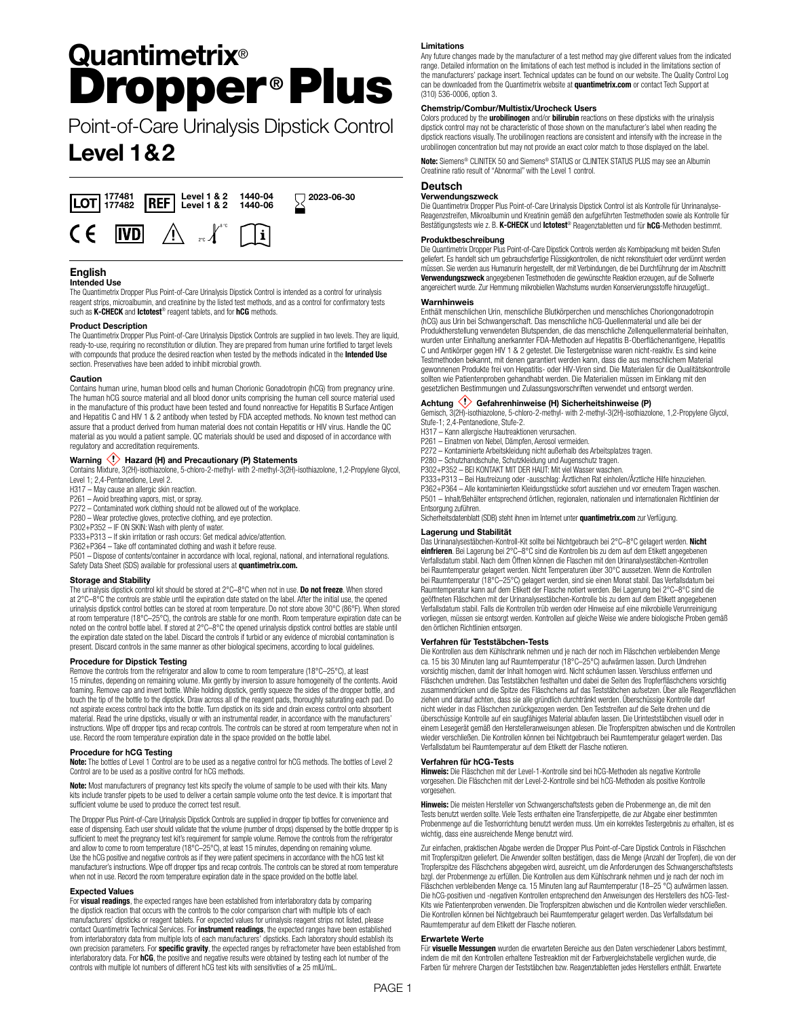# **Quantimetrix**® Dropper **®** Plus

Point-of-Care Urinalysis Dipstick Control

## **Level 1&2**



## **English**

#### **Intended Use**

The Quantimetrix Dropper Plus Point-of-Care Urinalysis Dipstick Control is intended as a control for urinalysis reagent strips, microalbumin, and creatinine by the listed test methods, and as a control for confirmatory tests such as **K-CHECK** and **Ictotest**® reagent tablets, and for **hCG** methods.

#### **Product Description**

The Quantimetrix Dropper Plus Point-of-Care Urinalysis Dipstick Controls are supplied in two levels. They are liquid, ready-to-use, requiring no reconstitution or dilution. They are prepared from human urine fortified to target levels with compounds that produce the desired reaction when tested by the methods indicated in the **Intended Use** section. Preservatives have been added to inhibit microbial growth.

#### **Caution**

Contains human urine, human blood cells and human Chorionic Gonadotropin (hCG) from pregnancy urine. The human hCG source material and all blood donor units comprising the human cell source material used in the manufacture of this product have been tested and found nonreactive for Hepatitis B Surface Antigen and Hepatitis C and HIV 1 & 2 antibody when tested by FDA accepted methods. No known test method can assure that a product derived from human material does not contain Hepatitis or HIV virus. Handle the QC material as you would a patient sample. QC materials should be used and disposed of in accordance with regulatory and accreditation requirements.

#### Warning  $\langle \cdot \rangle$  Hazard (H) and Precautionary (P) Statements

Contains Mixture, 3(2H)-isothiazolone, 5-chloro-2-methyl- with 2-methyl-3(2H)-isothiazolone, 1,2-Propylene Glycol, Level 1; 2,4-Pentanedione, Level 2.

- H317 May cause an allergic skin reaction.
- P261 Avoid breathing vapors, mist, or spray.
- P272 Contaminated work clothing should not be allowed out of the workplace.
- P280 Wear protective gloves, protective clothing, and eye protection.
- P302+P352 IF ON SKIN: Wash with plenty of water.

P333+P313 – If skin irritation or rash occurs: Get medical advice/attention.

P362+P364 – Take off contaminated clothing and wash it before reuse.

P501 – Dispose of contents/container in accordance with local, regional, national, and international regulations. Safety Data Sheet (SDS) available for professional users at **quantimetrix.com.**

#### **Storage and Stability**

The urinalysis dipstick control kit should be stored at 2°C–8°C when not in use. **Do not freeze**. When stored at 2°C–8°C the controls are stable until the expiration date stated on the label. After the initial use, the opened urinalysis dipstick control bottles can be stored at room temperature. Do not store above 30°C (86°F). When stored at room temperature (18°C–25°C), the controls are stable for one month. Room temperature expiration date can be noted on the control bottle label. If stored at 2°C–8°C the opened urinalysis dipstick control bottles are stable until the expiration date stated on the label. Discard the controls if turbid or any evidence of microbial contamination is present. Discard controls in the same manner as other biological specimens, according to local guidelines.

#### **Procedure for Dipstick Testing**

Remove the controls from the refrigerator and allow to come to room temperature (18°C–25°C), at least 15 minutes, depending on remaining volume. Mix gently by inversion to assure homogeneity of the contents. Avoid foaming. Remove cap and invert bottle. While holding dipstick, gently squeeze the sides of the dropper bottle, and touch the tip of the bottle to the dipstick. Draw across all of the reagent pads, thoroughly saturating each pad. Do not aspirate excess control back into the bottle. Turn dipstick on its side and drain excess control onto absorbent material. Read the urine dipsticks, visually or with an instrumental reader, in accordance with the manufacturers' instructions. Wipe off dropper tips and recap controls. The controls can be stored at room temperature when not in use. Record the room temperature expiration date in the space provided on the bottle label.

#### **Procedure for hCG Testing**

**Note:** The bottles of Level 1 Control are to be used as a negative control for hCG methods. The bottles of Level 2 Control are to be used as a positive control for hCG methods.

**Note:** Most manufacturers of pregnancy test kits specify the volume of sample to be used with their kits. Many kits include transfer pipets to be used to deliver a certain sample volume onto the test device. It is important that sufficient volume be used to produce the correct test result.

The Dropper Plus Point-of-Care Urinalysis Dipstick Controls are supplied in dropper tip bottles for convenience and ease of dispensing. Each user should validate that the volume (number of drops) dispensed by the bottle dropper tip is sufficient to meet the pregnancy test kit's requirement for sample volume. Remove the controls from the refrigerator and allow to come to room temperature (18°C–25°C), at least 15 minutes, depending on remaining volume. Use the hCG positive and negative controls as if they were patient specimens in accordance with the hCG test kit manufacturer's instructions. Wipe off dropper tips and recap controls. The controls can be stored at room temperature when not in use. Record the room temperature expiration date in the space provided on the bottle label.

#### **Expected Values**

For **visual readings**, the expected ranges have been established from interlaboratory data by comparing the dipstick reaction that occurs with the controls to the color comparison chart with multiple lots of each manufacturers' dipsticks or reagent tablets. For expected values for urinalysis reagent strips not listed, please contact Quantimetrix Technical Services. For **instrument readings**, the expected ranges have been established from interlaboratory data from multiple lots of each manufacturers' dipsticks. Each laboratory should establish its own precision parameters. For **specific gravity**, the expected ranges by refractometer have been established from interlaboratory data. For **hCG**, the positive and negative results were obtained by testing each lot number of the controls with multiple lot numbers of different hCG test kits with sensitivities of ≥ 25 mIU/mL.

#### **Limitations**

Any future changes made by the manufacturer of a test method may give different values from the indicated range. Detailed information on the limitations of each test method is included in the limitations section of the manufacturers' package insert. Technical updates can be found on our website. The Quality Control Log can be downloaded from the Quantimetrix website at **quantimetrix.com** or contact Tech Support at (310) 536-0006, option 3.

#### **Chemstrip/Combur/Multistix/Urocheck Users**

Colors produced by the **urobilinogen** and/or **bilirubin** reactions on these dipsticks with the urinalysis dipstick control may not be characteristic of those shown on the manufacturer's label when reading the dipstick reactions visually. The urobilinogen reactions are consistent and intensify with the increase in the urobilinogen concentration but may not provide an exact color match to those displayed on the label.

**Note:** Siemens® CLINITEK 50 and Siemens® STATUS or CLINITEK STATUS PLUS may see an Albumin Creatinine ratio result of "Abnormal" with the Level 1 control.

#### **Deutsch**

#### **Verwendungszweck**

Die Quantimetrix Dropper Plus Point-of-Care Urinalysis Dipstick Control ist als Kontrolle für Unrinanalyse-Reagenzstreifen, Mikroalbumin und Kreatinin gemäß den aufgeführten Testmethoden sowie als Kontrolle für Bestätigungstests wie z. B. **K-CHECK** und **Ictotest**® Reagenztabletten und für **hCG**-Methoden bestimmt.

#### **Produktbeschreibung**

Die Quantimetrix Dropper Plus Point-of-Care Dipstick Controls werden als Kombipackung mit beiden Stufen geliefert. Es handelt sich um gebrauchsfertige Flüssigkontrollen, die nicht rekonstituiert oder verdünnt werden müssen. Sie werden aus Humanurin hergestellt, der mit Verbindungen, die bei Durchführung der im Abschnitt **Verwendungszweck** angegebenen Testmethoden die gewünschte Reaktion erzeugen, auf die Sollwerte angereichert wurde. Zur Hemmung mikrobiellen Wachstums wurden Konservierungsstoffe hinzugefügt..

#### **Warnhinweis**

Enthält menschlichen Urin, menschliche Blutkörperchen und menschliches Choriongonadotropin (hCG) aus Urin bei Schwangerschaft. Das menschliche hCG-Quellenmaterial und alle bei der Produktherstellung verwendeten Blutspenden, die das menschliche Zellenquellenmaterial beinhalten, wurden unter Einhaltung anerkannter FDA-Methoden auf Hepatitis B-Oberflächenantigene, Hepatitis C und Antikörper gegen HIV 1 & 2 getestet. Die Testergebnisse waren nicht-reaktiv. Es sind keine Testmethoden bekannt, mit denen garantiert werden kann, dass die aus menschlichem Material gewonnenen Produkte frei von Hepatitis- oder HIV-Viren sind. Die Materialen für die Qualitätskontrolle sollten wie Patientenproben gehandhabt werden. Die Materialien müssen im Einklang mit den gesetzlichen Bestimmungen und Zulassungsvorschriften verwendet und entsorgt werden.

#### **Achtung Gefahrenhinweise (H) Sicherheitshinweise (P)**

Gemisch, 3(2H)-isothiazolone, 5-chloro-2-methyl- with 2-methyl-3(2H)-isothiazolone, 1,2-Propylene Glycol, Stufe-1; 2,4-Pentanedione, Stufe-2.

- 
- H317 Kann allergische Hautreaktionen verursachen. P261 Einatmen von Nebel, Dämpfen, Aerosol vermeiden.

P272 – Kontaminierte Arbeitskleidung nicht außerhalb des Arbeitsplatzes tragen.

P280 – Schutzhandschuhe, Schutzkleidung und Augenschutz tragen.

P302+P352 – BEI KONTAKT MIT DER HAUT: Mit viel Wasser waschen.

P333+P313 – Bei Hautreizung oder -ausschlag: Ärztlichen Rat einholen/Ärztliche Hilfe hinzuziehen. P362+P364 – Alle kontaminierten Kleidungsstücke sofort ausziehen und vor erneutem Tragen waschen. P501 – Inhalt/Behälter entsprechend örtlichen, regionalen, nationalen und internationalen Richtlinien der Entsorgung zuführen.

Sicherheitsdatenblatt (SDB) steht ihnen im Internet unter **quantimetrix.com** zur Verfügung.

#### **Lagerung und Stabilität**

Das Urinanalysestäbchen-Kontroll-Kit sollte bei Nichtgebrauch bei 2°C–8°C gelagert werden. **Nicht einfrieren**. Bei Lagerung bei 2°C–8°C sind die Kontrollen bis zu dem auf dem Etikett angegebenen Verfallsdatum stabil. Nach dem Öffnen können die Flaschen mit den Urinanalysestäbchen-Kontrollen bei Raumtemperatur gelagert werden. Nicht Temperaturen über 30°C aussetzen. Wenn die Kontrollen bei Raumtemperatur (18°C–25°C) gelagert werden, sind sie einen Monat stabil. Das Verfallsdatum bei Raumtemperatur kann auf dem Etikett der Flasche notiert werden. Bei Lagerung bei 2°C–8°C sind die geöffneten Fläschchen mit der Urinanalysestäbchen-Kontrolle bis zu dem auf dem Etikett angegebenen Verfallsdatum stabil. Falls die Kontrollen trüb werden oder Hinweise auf eine mikrobielle Verunreinigung vorliegen, müssen sie entsorgt werden. Kontrollen auf gleiche Weise wie andere biologische Proben gemäß den örtlichen Richtlinien entsorgen.

#### **Verfahren für Teststäbchen-Tests**

Die Kontrollen aus dem Kühlschrank nehmen und je nach der noch im Fläschchen verbleibenden Menge ca. 15 bis 30 Minuten lang auf Raumtemperatur (18°C–25°C) aufwärmen lassen. Durch Umdrehen vorsichtig mischen, damit der Inhalt homogen wird. Nicht schäumen lassen. Verschluss entfernen und Fläschchen umdrehen. Das Teststäbchen festhalten und dabei die Seiten des Tropferfläschchens vorsichtig zusammendrücken und die Spitze des Fläschchens auf das Teststäbchen aufsetzen. Über alle Reagenzflächen ziehen und darauf achten, dass sie alle gründlich durchtränkt werden. Überschüssige Kontrolle darf nicht wieder in das Fläschchen zurückgezogen werden. Den Teststreifen auf die Seite drehen und die überschüssige Kontrolle auf ein saugfähiges Material ablaufen lassen. Die Urinteststäbchen visuell oder in einem Lesegerät gemäß den Herstelleranweisungen ablesen. Die Tropferspitzen abwischen und die Kontrollen wieder verschließen. Die Kontrollen können bei Nichtgebrauch bei Raumtemperatur gelagert werden. Das Verfallsdatum bei Raumtemperatur auf dem Etikett der Flasche notieren.

#### **Verfahren für hCG-Tests**

**Hinweis:** Die Fläschchen mit der Level-1-Kontrolle sind bei hCG-Methoden als negative Kontrolle vorgesehen. Die Fläschchen mit der Level-2-Kontrolle sind bei hCG-Methoden als positive Kontrolle vorgesehen.

**Hinweis:** Die meisten Hersteller von Schwangerschaftstests geben die Probenmenge an, die mit den<br>Tests benutzt werden sollte. Viele Tests enthalten eine Transferpipette, die zur Abgabe einer bestimmten Probenmenge auf die Testvorrichtung benutzt werden muss. Um ein korrektes Testergebnis zu erhalten, ist es wichtig, dass eine ausreichende Menge benutzt wird.

Zur einfachen, praktischen Abgabe werden die Dropper Plus Point-of-Care Dipstick Controls in Fläschchen mit Tropferspitzen geliefert. Die Anwender sollten bestätigen, dass die Menge (Anzahl der Tropfen), die von der Tropferspitze des Fläschchens abgegeben wird, ausreicht, um die Anforderungen des Schwangerschaftstes bzgl. der Probenmenge zu erfüllen. Die Kontrollen aus dem Kühlschrank nehmen und je nach der noch im Fläschchen verbleibenden Menge ca. 15 Minuten lang auf Raumtemperatur (18–25 °C) aufwärmen lassen. Die hCG-positiven und -negativen Kontrollen entsprechend den Anweisungen des Herstellers des hCG-Test-Kits wie Patientenproben verwenden. Die Tropferspitzen abwischen und die Kontrollen wieder verschließen. Die Kontrollen können bei Nichtgebrauch bei Raumtemperatur gelagert werden. Das Verfallsdatum bei Raumtemperatur auf dem Etikett der Flasche notieren.

#### **Erwartete Werte**

Für **visuelle Messungen** wurden die erwarteten Bereiche aus den Daten verschiedener Labors bestimmt, indem die mit den Kontrollen erhaltene Testreaktion mit der Farbvergleichstabelle verglichen wurde, die Farben für mehrere Chargen der Teststäbchen bzw. Reagenztabletten jedes Herstellers enthält. Erwartete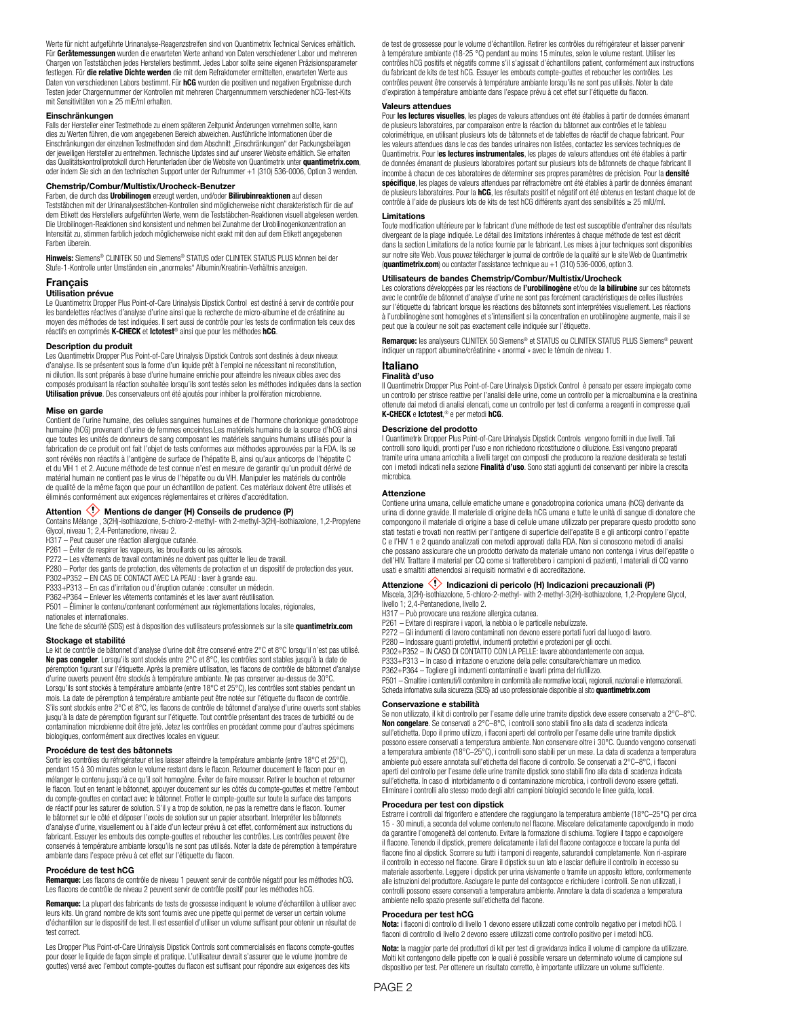Werte für nicht aufgeführte Urinanalyse-Reagenzstreifen sind von Quantimetrix Technical Services erhältlich. Für **Gerätemessungen** wurden die erwarteten Werte anhand von Daten verschiedener Labor und mehreren Chargen von Teststäbchen jedes Herstellers bestimmt. Jedes Labor sollte seine eigenen Präzisionsparameter festlegen. Für **die relative Dichte werden** die mit dem Refraktometer ermittelten, erwarteten Werte aus Daten von verschiedenen Labors bestimmt. Für **hCG** wurden die positiven und negativen Ergebnisse durch Testen jeder Chargennummer der Kontrollen mit mehreren Chargennummern verschiedener hCG-Test-Kits mit Sensitivitäten von ≥ 25 mIE/ml erhalten.

#### **Einschränkungen**

Falls der Hersteller einer Testmethode zu einem späteren Zeitpunkt Änderungen vornehmen sollte, kann dies zu Werten führen, die vom angegebenen Bereich abweichen. Ausführliche Informationen über die<br>Einschränkungen der einzelnen Testmethoden sind dem Abschnitt "Einschränkungen" der Packungsbeilagen der jeweiligen Hersteller zu entnehmen. Technische Updates sind auf unserer Website erhältlich. Sie erhalten das Qualitätskontrollprotokoll durch Herunterladen über die Website von Quantimetrix unter **quantimetrix.com**, oder indem Sie sich an den technischen Support unter der Rufnummer +1 (310) 536-0006, Option 3 wenden.

#### **Chemstrip/Combur/Multistix/Urocheck-Benutzer**

Farben, die durch das **Urobilinogen** erzeugt werden, und/oder **Bilirubinreaktionen** auf diesen<br>Teststäbchen mit der Urinanalysestäbchen-Kontrollen sind möglicherweise nicht charakteristisch für die auf dem Etikett des Herstellers aufgeführten Werte, wenn die Teststäbchen-Reaktionen visuell abgelesen werden. Die Urobilinogen-Reaktionen sind konsistent und nehmen bei Zunahme der Urobilinogenkonzentration an Intensität zu, stimmen farblich jedoch möglicherweise nicht exakt mit den auf dem Etikett angegebenen Farben überein.

**Hinweis:** Siemens® CLINITEK 50 und Siemens® STATUS oder CLINITEK STATUS PLUS können bei der Stufe-1-Kontrolle unter Umständen ein "anormales" Albumin/Kreatinin-Verhältnis anzeigen.

#### **Français**

#### **Utilisation prévue**

Le Quantimetrix Dropper Plus Point-of-Care Urinalysis Dipstick Control est destiné à servir de contrôle pour les bandelettes réactives d'analyse d'urine ainsi que la recherche de micro-albumine et de créatinine au moyen des méthodes de test indiquées. Il sert aussi de contrôle pour les tests de confirmation tels ceux des réactifs en comprimés **K-CHECK** et **Ictotest**® ainsi que pour les méthodes **hCG**.

#### **Description du produit**

Les Quantimetrix Dropper Plus Point-of-Care Urinalysis Dipstick Controls sont destinés à deux niveaux d'analyse. Ils se présentent sous la forme d'un liquide prêt à l'emploi ne nécessitant ni reconstitution, ni dilution. Ils sont préparés à base d'urine humaine enrichie pour atteindre les niveaux cibles avec des composés produisant la réaction souhaitée lorsqu'ils sont testés selon les méthodes indiquées dans la section **Utilisation prévue**. Des conservateurs ont été ajoutés pour inhiber la prolifération microbienne.

#### **Mise en garde**

Contient de l'urine humaine, des cellules sanguines humaines et de l'hormone chorionique gonadotrope humaine (hCG) provenant d'urine de femmes enceintes.Les matériels humains de la source d'hCG ainsi que toutes les unités de donneurs de sang composant les matériels sanguins humains utilisés pour la fabrication de ce produit ont fait l'objet de tests conformes aux méthodes approuvées par la FDA. Ils se sont révélés non réactifs à l'antigène de surface de l'hépatite B, ainsi qu'aux anticorps de l'hépatite C et du VIH 1 et 2. Aucune méthode de test connue n'est en mesure de garantir qu'un produit dérivé de matérial humain ne contient pas le virus de l'hépatite ou du VIH. Manipuler les matériels du contrôle de qualité de la même façon que pour un échantillon de patient. Ces matériaux doivent être utilisés et éliminés conformément aux exigences réglementaires et critères d'accréditation.

#### Attention  $\langle\cdot\rangle$  Mentions de danger (H) Conseils de prudence (P)

Contains Mélange , 3(2H)-isothiazolone, 5-chloro-2-methyl- with 2-methyl-3(2H)-isothiazolone, 1,2-Propylene Glycol, niveau 1; 2,4-Pentanedione, niveau 2.

H317 – Peut causer une réaction allergique cutanée.

P261 – Éviter de respirer les vapeurs, les brouillards ou les aérosols.

P272 – Les vêtements de travail contaminés ne doivent pas quitter le lieu de travail.

P280 – Porter des gants de protection, des vêtements de protection et un dispositif de protection des yeux.

P302+P352 – EN CAS DE CONTACT AVEC LA PEAU : laver à grande eau.

P333+P313 – En cas d'irritation ou d'éruption cutanée : consulter un médecin. P362+P364 – Enlever les vêtements contaminés et les laver avant réutilisation.

P501 – Éliminer le contenu/contenant conformément aux réglementations locales, régionales,

nationales et internationales.

Une fiche de sécurité (SDS) est à disposition des vutilisateurs professionnels sur la site **quantimetrix.com**

#### **Stockage et stabilité**

Le kit de contrôle de bâtonnet d'analyse d'urine doit être conservé entre 2°C et 8°C lorsqu'il n'est pas utilisé. **Ne pas congeler**. Lorsqu'ils sont stockés entre 2°C et 8°C, les contrôles sont stables jusqu'à la date de<br>péremption figurant sur l'étiquette. Après la première utilisation, les flacons de contrôle de bâtonnet d'analyse d'urine ouverts peuvent être stockés à température ambiante. Ne pas conserver au-dessus de 30°C. Lorsqu'ils sont stockés à température ambiante (entre 18°C et 25°C), les contrôles sont stables pendant un mois. La date de péremption à température ambiante peut être notée sur l'étiquette du flacon de contrôle. S'ils sont stockés entre 2°C et 8°C, les flacons de contrôle de bâtonnet d'analyse d'urine ouverts sont stables jusqu'à la date de péremption figurant sur l'étiquette. Tout contrôle présentant des traces de turbidité ou de contamination microbienne doit être jeté. Jetez les contrôles en procédant comme pour d'autres spécimens biologiques, conformément aux directives locales en vigueur.

#### **Procédure de test des bâtonnets**

Sortir les contrôles du réfrigérateur et les laisser atteindre la température ambiante (entre 18°C et 25°C). pendant 15 à 30 minutes selon le volume restant dans le flacon. Retourner doucement le flacon pour en mélanger le contenu jusqu'à ce qu'il soit homogène. Éviter de faire mousser. Retirer le bouchon et retourner le flacon. Tout en tenant le bâtonnet, appuyer doucement sur les côtés du compte-gouttes et mettre l'embout du compte-gouttes en contact avec le bâtonnet. Frotter le compte-goutte sur toute la surface des tampons de réactif pour les saturer de solution. S'il y a trop de solution, ne pas la remettre dans le flacon. Tourner le bâtonnet sur le côté et déposer l'excès de solution sur un papier absorbant. Interpréter les bâtonnets d'analyse d'urine, visuellement ou à l'aide d'un lecteur prévu à cet effet, conformément aux instructions du fabricant. Essuyer les embouts des compte-gouttes et reboucher les contrôles. Les contrôles peuvent être conservés à température ambiante lorsqu'ils ne sont pas utilisés. Noter la date de péremption à température ambiante dans l'espace prévu à cet effet sur l'étiquette du flacon.

#### **Procédure de test hCG**

**Remarque:** Les flacons de contrôle de niveau 1 peuvent servir de contrôle négatif pour les méthodes hCG. Les flacons de contrôle de niveau 2 peuvent servir de contrôle positif pour les méthodes hCG.

**Remarque:** La plupart des fabricants de tests de grossesse indiquent le volume d'échantillon à utiliser avec leurs kits. Un grand nombre de kits sont fournis avec une pipette qui permet de verser un certain volume<br>d'échantillon sur le dispositif de test. Il est essentiel d'utiliser un volume suffisant pour obtenir un résultat de test correct.

Les Dropper Plus Point-of-Care Urinalysis Dipstick Controls sont commercialisés en flacons compte-gouttes pour doser le liquide de façon simple et pratique. L'utilisateur devrait s'assurer que le volume (nombre de gouttes) versé avec l'embout compte-gouttes du flacon est suffisant pour répondre aux exigences des kits

de test de grossesse pour le volume d'échantillon. Retirer les contrôles du réfrigérateur et laisser parvenir à température ambiante (18-25 °C) pendant au moins 15 minutes, selon le volume restant. Utiliser les contrôles hCG positifs et négatifs comme s'il s'agissait d'échantillons patient, conformément aux instructions du fabricant de kits de test hCG. Essuyer les embouts compte-gouttes et reboucher les contrôles. Les contrôles peuvent être conservés à température ambiante lorsqu'ils ne sont pas utilisés. Noter la date d'expiration à température ambiante dans l'espace prévu à cet effet sur l'étiquette du flacon.

#### **Valeurs attendues**

Pour **les lectures visuelles**, les plages de valeurs attendues ont été établies à partir de données émanant de plusieurs laboratoires, par comparaison entre la réaction du bâtonnet aux contrôles et le tableau colorimétrique, en utilisant plusieurs lots de bâtonnets et de tablettes de réactif de chaque fabricant. Pour les valeurs attendues dans le cas des bandes urinaires non listées, contactez les services techniques de Quantimetrix. Pour l**es lectures instrumentales**, les plages de valeurs attendues ont été établies à partir de données émanant de plusieurs laboratoires portant sur plusieurs lots de bâtonnets de chaque fabricant Il incombe à chacun de ces laboratoires de déterminer ses propres paramètres de précision. Pour la **densité spécifique**, les plages de valeurs attendues par réfractomètre ont été établies à partir de données émanant de plusieurs laboratoires. Pour la **hCG**, les résultats positif et négatif ont été obtenus en testant chaque lot de contrôle à l'aide de plusieurs lots de kits de test hCG différents ayant des sensibilités ≥ 25 mIU/ml.

#### **Limitations**

Toute modification ultérieure par le fabricant d'une méthode de test est susceptible d'entraîner des résultats divergeant de la plage indiquée. Le détail des limitations inhérentes à chaque méthode de test est décrit dans la section Limitations de la notice fournie par le fabricant. Les mises à jour techniques sont disponibles sur notre site Web. Vous pouvez télécharger le journal de contrôle de la qualité sur le site Web de Quantimetrix (**quantimetrix.com**) ou contacter l'assistance technique au +1 (310) 536-0006, option 3.

#### **Utilisateurs de bandes Chemstrip/Combur/Multistix/Urocheck**

Les colorations développées par les réactions de **l'urobilinogène** et/ou de **la bilirubine** sur ces bâtonnets avec le contrôle de bâtonnet d'analyse d'urine ne sont pas forcément caractéristiques de celles illustrées sur l'étiquette du fabricant lorsque les réactions des bâtonnets sont interprétées visuellement. Les réactions à l'urobilinogène sont homogènes et s'intensifient si la concentration en urobilinogène augmente, mais il se peut que la couleur ne soit pas exactement celle indiquée sur l'étiquette.

**Remarque:** les analyseurs CLINITEK 50 Siemens® et STATUS ou CLINITEK STATUS PLUS Siemens® peuvent indiquer un rapport albumine/créatinine « anormal » avec le témoin de niveau 1.

#### **Italiano Finalità d'uso**

Il Quantimetrix Dropper Plus Point-of-Care Urinalysis Dipstick Control è pensato per essere impiegato come un controllo per strisce reattive per l'analisi delle urine, come un controllo per la microalbumina e la creatinina ottenute dai metodi di analisi elencati, come un controllo per test di conferma a reagenti in compresse quali **K-CHECK** e **Ictotest**, ® e per metodi **hCG**.

#### **Descrizione del prodotto**

I Quantimetrix Dropper Plus Point-of-Care Urinalysis Dipstick Controls vengono forniti in due livelli. Tali controlli sono liquidi, pronti per l'uso e non richiedono ricostituzione o diluizione. Essi vengono preparati tramite urina umana arricchita a livelli target con composti che producono la reazione desiderata se testati con i metodi indicati nella sezione **Finalità d'uso**. Sono stati aggiunti dei conservanti per inibire la crescita microbica.

#### **Attenzione**

Contiene urina umana, cellule ematiche umane e gonadotropina corionica umana (hCG) derivante da urina di donne gravide. Il materiale di origine della hCG umana e tutte le unità di sangue di donatore che compongono il materiale di origine a base di cellule umane utilizzato per preparare questo prodotto sono stati testati e trovati non reattivi per l'antigene di superficie dell'epatite B e gli anticorpi contro l'epatite C e l'HIV 1 e 2 quando analizzati con metodi approvati dalla FDA. Non si conoscono metodi di analisi che possano assicurare che un prodotto derivato da materiale umano non contenga i virus dell'epatite o dell'HIV. Trattare il material per CQ come si tratterebbero i campioni di pazienti, I materiali di CQ vanno usati e smaltiti attenendosi ai requisiti normativi e di accreditazione.

**Attenzione 〈'〉Indicazioni di pericolo (H) Indicazioni precauzionali (P)**<br>Miscela, 3(2H)-isothiazolone, 5-chloro-2-methyl- with 2-methyl-3(2H)-isothiazolone, 1,2-Propylene Glycol, livello 1; 2,4-Pentanedione, livello 2.

- H317 Può provocare una reazione allergica cutanea.
- P261 Evitare di respirare i vapori, la nebbia o le particelle nebulizzate.
- P272 Gli indumenti di lavoro contaminati non devono essere portati fuori dal luogo di lavoro.

P280 – Indossare guanti protettivi, indumenti protettivi e protezioni per gli occhi.

P302+P352 – IN CASO DI CONTATTO CON LA PELLE: lavare abbondantemente con acqua.

P333+P313 – In caso di irritazione o eruzione della pelle: consultare/chiamare un medico.

P362+P364 – Togliere gli indumenti contaminati e lavarli prima del riutilizzo.

P501 – Smaltire i contenuti/il contenitore in conformità alle normative locali, regionali, nazionali e internazionali. Scheda infomativa sulla sicurezza (SDS) ad uso professionale disponible al sito **quantimetrix.com**

#### **Conservazione e stabilità**

Se non utilizzato, il kit di controllo per l'esame delle urine tramite dipstick deve essere conservato a 2°C–8°C. **Non congelare**. Se conservati a 2°C–8°C, i controlli sono stabili fino alla data di scadenza indicata sull'etichetta. Dopo il primo utilizzo, i flaconi aperti del controllo per l'esame delle urine tramite dipstick possono essere conservati a temperatura ambiente. Non conservare oltre i 30°C. Quando vengono conservati a temperatura ambiente (18°C–25°C), i controlli sono stabili per un mese. La data di scadenza a temperatura ambiente può essere annotata sull'etichetta del flacone di controllo. Se conservati a 2°C–8°C, i flaconi aperti del controllo per l'esame delle urine tramite dipstick sono stabili fino alla data di scadenza indicata sull'etichetta. In caso di intorbidamento o di contaminazione microbica, i controlli devono essere gettati. Eliminare i controlli allo stesso modo degli altri campioni biologici secondo le linee guida, locali.

#### **Procedura per test con dipstick**

Estrarre i controlli dal frigorifero e attendere che raggiungano la temperatura ambiente (18°C–25°C) per circa 15 - 30 minuti, a seconda del volume contenuto nel flacone. Miscelare delicatamente capovolgendo in modo da garantire l'omogeneità del contenuto. Evitare la formazione di schiuma. Togliere il tappo e capovolgere il flacone. Tenendo il dipstick, premere delicatamente i lati del flacone contagocce e toccare la punta del flacone fino al dipstick. Scorrere su tutti i tamponi di reagente, saturandoli completamente. Non ri-aspirare il controllo in eccesso nel flacone. Girare il dipstick su un lato e lasciar defluire il controllo in eccesso su materiale assorbente. Leggere i dipstick per urina visivamente o tramite un apposito lettore, conformemente alle istruzioni del produttore. Asciugare le punte del contagocce e richiudere i controlli. Se non utilizzati, i controlli possono essere conservati a temperatura ambiente. Annotare la data di scadenza a temperatura ambiente nello spazio presente sull'etichetta del flacone.

#### **Procedura per test hCG**

**Nota:** i flaconi di controllo di livello 1 devono essere utilizzati come controllo negativo per i metodi hCG. I flaconi di controllo di livello 2 devono essere utilizzati come controllo positivo per i metodi hCG.

**Nota:** la maggior parte dei produttori di kit per test di gravidanza indica il volume di campione da utilizzare. Molti kit contengono delle pipette con le quali è possibile versare un determinato volume di campione sul dispositivo per test. Per ottenere un risultato corretto, è importante utilizzare un volume sufficiente.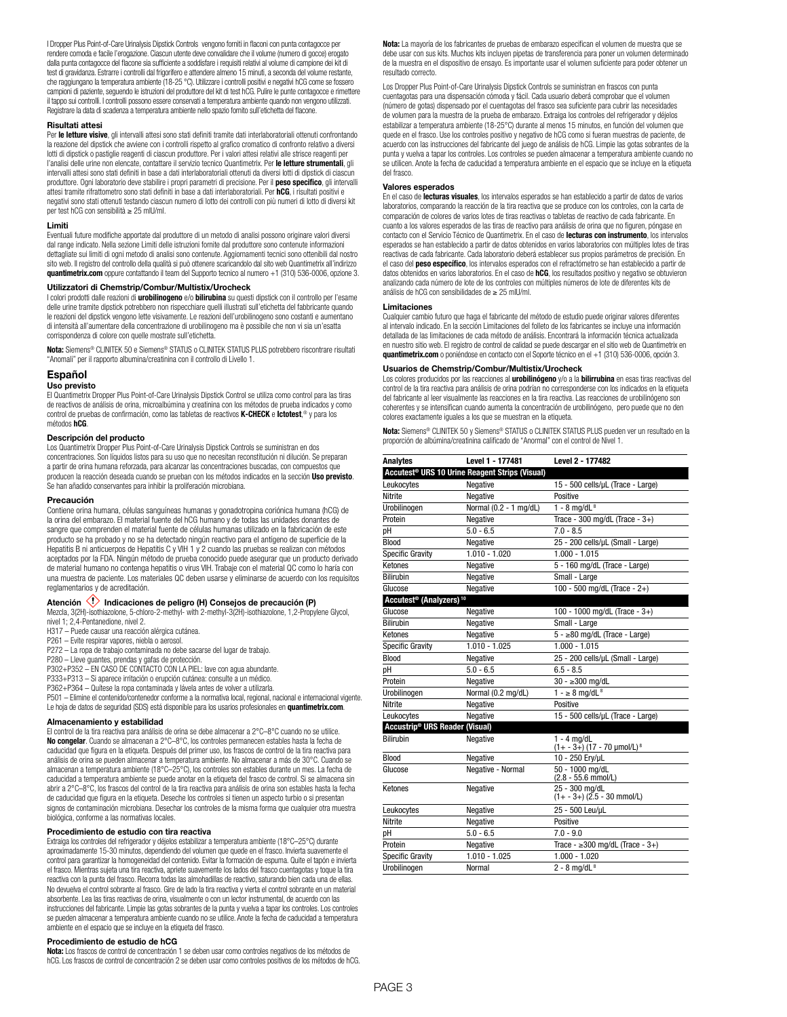I Dropper Plus Point-of-Care Urinalysis Dipstick Controls vengono forniti in flaconi con punta contagocce per rendere comoda e facile l'erogazione. Ciascun utente deve convalidare che il volume (numero di gocce) erogato dalla punta contagocce del flacone sia sufficiente a soddisfare i requisiti relativi al volume di campione dei kit di test di gravidanza. Estrarre i controlli dal frigorifero e attendere almeno 15 minuti, a seconda del volume restante, che raggiungano la temperatura ambiente (18-25 °C). Utilizzare i controlli positivi e negativi hCG come se fossero campioni di paziente, seguendo le istruzioni del produttore del kit di test hCG. Pulire le punte contagocce e rimettere il tappo sui controlli. I controlli possono essere conservati a temperatura ambiente quando non vengono utilizzati. Registrare la data di scadenza a temperatura ambiente nello spazio fornito sull'etichetta del flacone.

#### **Risultati attesi**

Per **le letture visive**, gli intervalli attesi sono stati definiti tramite dati interlaboratoriali ottenuti confrontando la reazione del dipstick che avviene con i controlli rispetto al grafico cromatico di confronto relativo a diversi lotti di dipstick o pastiglie reagenti di ciascun produttore. Per i valori attesi relativi alle strisce reagenti per l'analisi delle urine non elencate, contattare il servizio tecnico Quantimetrix. Per **le letture strumentali**, gli intervalli attesi sono stati definiti in base a dati interlaboratoriali ottenuti da diversi lotti di dipstick di ciascun produttore. Ogni laboratorio deve stabilire i propri parametri di precisione. Per il **peso specifico**, gli intervalli<br>attesi tramite rifrattometro sono stati definiti in base a dati interlaboratoriali. Per **hCG**, i risulta negativi sono stati ottenuti testando ciascun numero di lotto dei controlli con più numeri di lotto di diversi kit per test hCG con sensibilità ≥ 25 mIU/ml.

#### **Limiti**

Eventuali future modifiche apportate dal produttore di un metodo di analisi possono originare valori diversi dal range indicato. Nella sezione Limiti delle istruzioni fornite dal produttore sono contenute informazioni dettagliate sui limiti di ogni metodo di analisi sono contenute. Aggiornamenti tecnici sono ottenibili dal nostro sito web. Il registro del controllo della qualità si può ottenere scaricandolo dal sito web Quantimetrix all'indirizzo **quantimetrix.com** oppure contattando il team del Supporto tecnico al numero +1 (310) 536-0006, opzione 3.

#### **Utilizzatori di Chemstrip/Combur/Multistix/Urocheck**

I colori prodotti dalle reazioni di **urobilinogeno** e/o **bilirubina** su questi dipstick con il controllo per l'esame delle urine tramite dipstick potrebbero non rispecchiare quelli illustrati sull'etichetta del fabbricante quando le reazioni del dipstick vengono lette visivamente. Le reazioni dell'urobilinogeno sono costanti e aumentano di intensità all'aumentare della concentrazione di urobilinogeno ma è possibile che non vi sia un'esatta corrispondenza di colore con quelle mostrate sull'etichetta.

**Nota:** Siemens® CLINITEK 50 e Siemens® STATUS o CLINITEK STATUS PLUS potrebbero riscontrare risultati "Anomali" per il rapporto albumina/creatinina con il controllo di Livello 1.

### **Español**

#### **Uso previsto**

El Quantimetrix Dropper Plus Point-of-Care Urinalysis Dipstick Control se utiliza como control para las tiras de reactivos de análisis de orina, microalbúmina y creatinina con los métodos de prueba indicados y como control de pruebas de confirmación, como las tabletas de reactivos **K-CHECK** e **Ictotest**, ® y para los métodos **hCG**.

#### **Descripción del producto**

Los Quantimetrix Dropper Plus Point-of-Care Urinalysis Dipstick Controls se suministran en dos concentraciones. Son líquidos listos para su uso que no necesitan reconstitución ni dilución. Se preparan a partir de orina humana reforzada, para alcanzar las concentraciones buscadas, con compuestos que producen la reacción deseada cuando se prueban con los métodos indicados en la sección **Uso previsto**. Se han añadido conservantes para inhibir la proliferación microbiana.

#### **Precaución**

Contiene orina humana, células sanguíneas humanas y gonadotropina coriónica humana (hCG) de la orina del embarazo. El material fuente del hCG humano y de todas las unidades donantes de sangre que comprenden el material fuente de células humanas utilizado en la fabricación de este producto se ha probado y no se ha detectado ningún reactivo para el antígeno de superficie de la Hepatitis B ni anticuerpos de Hepatitis C y VIH 1 y 2 cuando las pruebas se realizan con métodos aceptados por la FDA. Ningún método de prueba conocido puede asegurar que un producto derivado de material humano no contenga hepatitis o virus VIH. Trabaje con el material QC como lo haría con una muestra de paciente. Los materiales QC deben usarse y eliminarse de acuerdo con los requisitos reglamentarios y de acreditación.

## Atención **(1)** Indicaciones de peligro (H) Consejos de precaución (P)

Mezcla, 3(2H)-isothiazolone, 5-chloro-2-methyl- with 2-methyl-3(2H)-isothiazolone, 1,2-Propylene Glycol, nivel 1; 2,4-Pentanedione, nivel 2.

- H317 Puede causar una reacción alérgica cutánea.
- P261 Evite respirar vapores, niebla o aerosol.
- P272 La ropa de trabajo contaminada no debe sacarse del lugar de trabajo.
- P280 Lleve guantes, prendas y gafas de protección. P302+P352 EN CASO DE CONTACTO CON LA PIEL: lave con agua abundante.
- P333+P313 Si aparece irritación o erupción cutánea: consulte a un médico.
- 

P362+P364 – Quítese la ropa contaminada y lávela antes de volver a utilizarla.

P501 – Elimine el contenido/contenedor conforme a la normativa local, regional, nacional e internacional vigente. Le hoja de datos de seguridad (SDS) está disponible para los usarios profesionales en **quantimetrix.com**.

#### **Almacenamiento y estabilidad**

El control de la tira reactiva para análisis de orina se debe almacenar a 2°C–8°C cuando no se utilice. **No congelar**. Cuando se almacenan a 2°C–8°C, los controles permanecen estables hasta la fecha de caducidad que figura en la etiqueta. Después del primer uso, los frascos de control de la tira reactiva para análisis de orina se pueden almacenar a temperatura ambiente. No almacenar a más de 30°C. Cuando se almacenan a temperatura ambiente (18°C–25°C), los controles son estables durante un mes. La fecha de caducidad a temperatura ambiente se puede anotar en la etiqueta del frasco de control. Si se almacena sin abrir a 2°C–8°C, los frascos del control de la tira reactiva para análisis de orina son estables hasta la fecha de caducidad que figura en la etiqueta. Deseche los controles si tienen un aspecto turbio o si presentan signos de contaminación microbiana. Desechar los controles de la misma forma que cualquier otra muestra biológica, conforme a las normativas locales.

#### **Procedimiento de estudio con tira reactiva**

Extraiga los controles del refrigerador y déjelos estabilizar a temperatura ambiente (18°C–25°C) durante aproximadamente 15-30 minutos, dependiendo del volumen que quede en el frasco. Invierta suavemente el control para garantizar la homogeneidad del contenido. Evitar la formación de espuma. Quite el tapón e invierta el frasco. Mientras sujeta una tira reactiva, apriete suavemente los lados del frasco cuentagotas y toque la tira reactiva con la punta del frasco. Recorra todas las almohadillas de reactivo, saturando bien cada una de ellas. No devuelva el control sobrante al frasco. Gire de lado la tira reactiva y vierta el control sobrante en un material absorbente. Lea las tiras reactivas de orina, visualmente o con un lector instrumental, de acuerdo con las instrucciones del fabricante. Limpie las gotas sobrantes de la punta y vuelva a tapar los controles. Los controles se pueden almacenar a temperatura ambiente cuando no se utilice. Anote la fecha de caducidad a temperatura ambiente en el espacio que se incluye en la etiqueta del frasco.

#### **Procedimiento de estudio de hCG**

**Nota:** Los frascos de control de concentración 1 se deben usar como controles negativos de los métodos de hCG. Los frascos de control de concentración 2 se deben usar como controles positivos de los métodos de hCG. **Nota:** La mayoría de los fabricantes de pruebas de embarazo especifican el volumen de muestra que se debe usar con sus kits. Muchos kits incluyen pipetas de transferencia para poner un volumen determinado de la muestra en el dispositivo de ensayo. Es importante usar el volumen suficiente para poder obtener un resultado correcto.

Los Dropper Plus Point-of-Care Urinalysis Dipstick Controls se suministran en frascos con punta cuentagotas para una dispensación cómoda y fácil. Cada usuario deberá comprobar que el volumen (número de gotas) dispensado por el cuentagotas del frasco sea suficiente para cubrir las necesidades de volumen para la muestra de la prueba de embarazo. Extraiga los controles del refrigerador y déjelos estabilizar a temperatura ambiente (18-25°C) durante al menos 15 minutos, en función del volumen que quede en el frasco. Use los controles positivo y negativo de hCG como si fueran muestras de paciente, de acuerdo con las instrucciones del fabricante del juego de análisis de hCG. Limpie las gotas sobrantes de la punta y vuelva a tapar los controles. Los controles se pueden almacenar a temperatura ambiente cuando no se utilicen. Anote la fecha de caducidad a temperatura ambiente en el espacio que se incluye en la etiqueta del frasco.

#### **Valores esperados**

En el caso de **lecturas visuales**, los intervalos esperados se han establecido a partir de datos de varios laboratorios, comparando la reacción de la tira reactiva que se produce con los controles, con la carta de comparación de colores de varios lotes de tiras reactivas o tabletas de reactivo de cada fabricante. En cuanto a los valores esperados de las tiras de reactivo para análisis de orina que no figuren, póngase en contacto con el Servicio Técnico de Quantimetrix. En el caso de **lecturas con instrumento**, los intervalos esperados se han establecido a partir de datos obtenidos en varios laboratorios con múltiples lotes de tiras reactivas de cada fabricante. Cada laboratorio deberá establecer sus propios parámetros de precisión. En el caso del **peso específico**, los intervalos esperados con el refractómetro se han establecido a partir de datos obtenidos en varios laboratorios. En el caso de **hCG**, los resultados positivo y negativo se obtuvieron analizando cada número de lote de los controles con múltiples números de lote de diferentes kits de análisis de hCG con sensibilidades de ≥ 25 mIU/ml.

#### **Limitaciones**

Cualquier cambio futuro que haga el fabricante del método de estudio puede originar valores diferentes al intervalo indicado. En la sección Limitaciones del folleto de los fabricantes se incluye una información detallada de las limitaciones de cada método de análisis. Encontrará la información técnica actualizada en nuestro sitio web. El registro de control de calidad se puede descargar en el sitio web de Quantimetrix en **quantimetrix.com** o poniéndose en contacto con el Soporte técnico en el +1 (310) 536-0006, opción 3.

#### **Usuarios de Chemstrip/Combur/Multistix/Urocheck**

Los colores producidos por las reacciones al **urobilinógeno** y/o a la **bilirrubina** en esas tiras reactivas del control de la tira reactiva para análisis de orina podrían no corresponderse con los indicados en la etiqueta del fabricante al leer visualmente las reacciones en la tira reactiva. Las reacciones de urobilinógeno son coherentes y se intensifican cuando aumenta la concentración de urobilinógeno, pero puede que no den colores exactamente iguales a los que se muestran en la etiqueta.

**Nota:** Siemens® CLINITEK 50 y Siemens® STATUS o CLINITEK STATUS PLUS pueden ver un resultado en la proporción de albúmina/creatinina calificado de "Anormal" con el control de Nivel 1.

| <b>Analytes</b>                                 | Level 1 - 177481                                           | Level 2 - 177482                                          |
|-------------------------------------------------|------------------------------------------------------------|-----------------------------------------------------------|
|                                                 | Accutest <sup>®</sup> URS 10 Urine Reagent Strips (Visual) |                                                           |
| Leukocytes                                      | Negative                                                   | 15 - 500 cells/uL (Trace - Large)                         |
| <b>Nitrite</b>                                  | Negative                                                   | Positive                                                  |
| Urobilinogen                                    | Normal (0.2 - 1 mg/dL)                                     | $1 - 8$ ma/dL $8$                                         |
| Protein                                         | Negative                                                   | Trace - 300 mg/dL (Trace - $3+$ )                         |
| рH                                              | $5.0 - 6.5$                                                | $7.0 - 8.5$                                               |
| <b>Blood</b>                                    | Negative                                                   | 25 - 200 cells/µL (Small - Large)                         |
| <b>Specific Gravity</b>                         | $1.010 - 1.020$                                            | $1.000 - 1.015$                                           |
| Ketones                                         | Negative                                                   | 5 - 160 mg/dL (Trace - Large)                             |
| <b>Bilirubin</b>                                | Negative                                                   | Small - Large                                             |
| Glucose                                         | Negative                                                   | 100 - 500 mg/dL (Trace - 2+)                              |
| Accutest <sup>®</sup> (Analyzers) <sup>10</sup> |                                                            |                                                           |
| Glucose                                         | Negative                                                   | 100 - 1000 mg/dL (Trace - 3+)                             |
| <b>Bilirubin</b>                                | Negative                                                   | Small - Large                                             |
| Ketones                                         | Negative                                                   | $5 - \ge 80$ mg/dL (Trace - Large)                        |
| <b>Specific Gravity</b>                         | $1.010 - 1.025$                                            | $1.000 - 1.015$                                           |
| <b>Blood</b>                                    | Negative                                                   | 25 - 200 cells/µL (Small - Large)                         |
| pН                                              | $5.0 - 6.5$                                                | $6.5 - 8.5$                                               |
| Protein                                         | Negative                                                   | $30 - 300$ mg/dL                                          |
| Urobilinogen                                    | Normal (0.2 mg/dL)                                         | $1 - \ge 8$ mg/dL <sup>8</sup>                            |
| <b>Nitrite</b>                                  | Negative                                                   | Positive                                                  |
| Leukocytes                                      | Negative                                                   | 15 - 500 cells/µL (Trace - Large)                         |
| Accustrip <sup>®</sup> URS Reader (Visual)      |                                                            |                                                           |
| <b>Bilirubin</b>                                | Negative                                                   | $1 - 4$ ma/dL<br>$(1 + -3)$ (17 - 70 µmol/L) <sup>8</sup> |
| Blood                                           | Negative                                                   | 10 - 250 Ery/µL                                           |
| Glucose                                         | Negative - Normal                                          | 50 - 1000 mg/dL<br>$(2.8 - 55.6$ mmol/L)                  |
| Ketones                                         | Negative                                                   | 25 - 300 mg/dL<br>$(1 + -3+)$ $(2.5 - 30 \text{ mmol/L})$ |
| Leukocytes                                      | Negative                                                   | 25 - 500 Leu/uL                                           |
| Nitrite                                         | Negative                                                   | Positive                                                  |
| pH                                              | $5.0 - 6.5$                                                | $7.0 - 9.0$                                               |
| Protein                                         | Negative                                                   | Trace - $\geq$ 300 mg/dL (Trace - 3+)                     |
| <b>Specific Gravity</b>                         | $1.010 - 1.025$                                            | $1.000 - 1.020$                                           |
| Urobilinogen                                    | Normal                                                     | $2 - 8$ mg/dL $8$                                         |
|                                                 |                                                            |                                                           |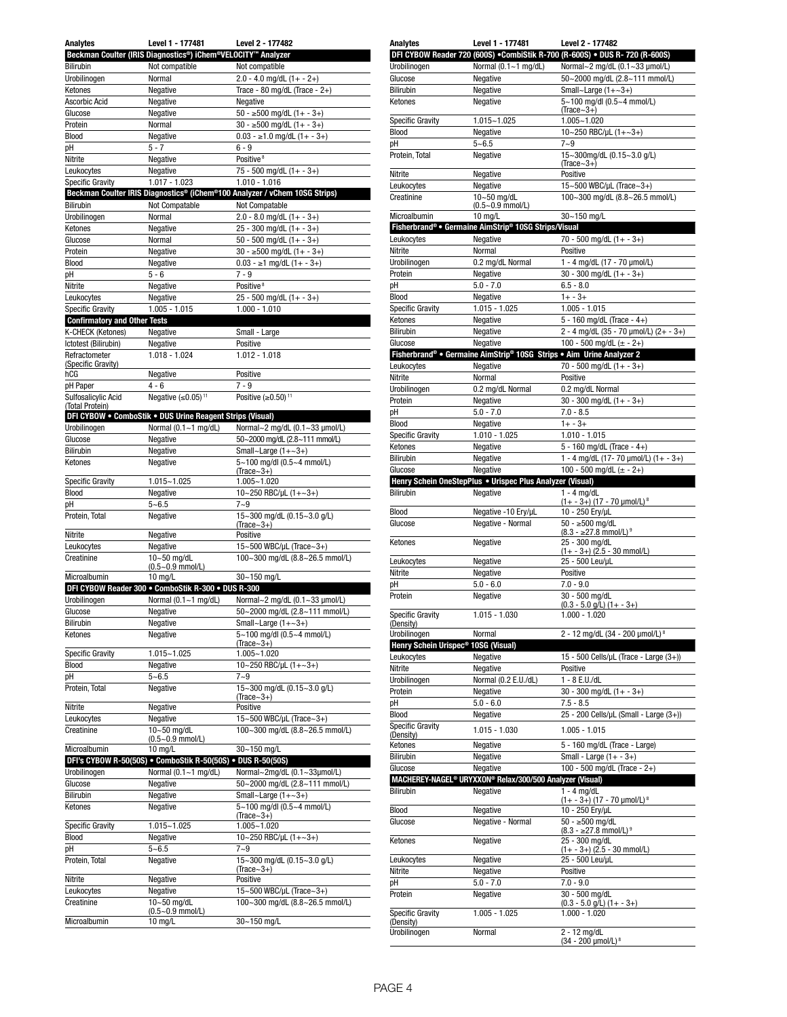| Analytes                            | Level 1 - 177481                                             | Level 2 - 177482                                                           |
|-------------------------------------|--------------------------------------------------------------|----------------------------------------------------------------------------|
|                                     | Beckman Coulter (IRIS Diagnostics®) iChem®VELOCITY™ Analyzer |                                                                            |
| <b>Bilirubin</b>                    | Not compatible                                               | Not compatible                                                             |
| Urobilinogen                        | Normal                                                       | $2.0 - 4.0$ mg/dL $(1 + - 2+)$                                             |
| Ketones                             | Negative                                                     | Trace - 80 mg/dL (Trace - $2+$ )                                           |
| Ascorbic Acid                       |                                                              | Negative                                                                   |
|                                     | Negative                                                     |                                                                            |
| Glucose                             | Negative                                                     | $\overline{50 - 500}$ mg/dL (1+ - 3+)                                      |
| Protein                             | Normal                                                       | $30 - \ge 500$ mg/dL $(1 + -3 +)$                                          |
| Blood                               | Negative                                                     | $0.03 - \ge 1.0$ mg/dL $(1 + -3+)$                                         |
| рH                                  | $5 - 7$                                                      | $6 - 9$                                                                    |
| Nitrite                             | Negative                                                     | Positive <sup>8</sup>                                                      |
| Leukocytes                          | Negative                                                     | 75 - 500 mg/dL $(1 + -3+)$                                                 |
| Specific Gravity                    | 1.017 - 1.023                                                | 1.010 - 1.016                                                              |
|                                     |                                                              | Beckman Coulter IRIS Diagnostics® (iChem®100 Analyzer / vChem 10SG Strips) |
| Bilirubin                           | Not Compatable                                               | Not Compatable                                                             |
| Urobilinogen                        | Normal                                                       | $2.0 - 8.0$ mg/dL $(1 + -3+)$                                              |
| Ketones                             | Negative                                                     | $25 - 300$ mg/dL $(1 + - 3+)$                                              |
| Glucose                             | Normal                                                       | 50 - 500 mg/dL $(1 + -3 +)$                                                |
|                                     |                                                              |                                                                            |
| Protein                             | Negative                                                     | $\overline{30 - 500}$ mg/dL (1+ - 3+)                                      |
| <b>Blood</b>                        | Negative                                                     | $0.03 - \ge 1$ mg/dL $(1 + -3+)$                                           |
| рH                                  | $5 - 6$                                                      | $7 - 9$                                                                    |
| Nitrite                             | Negative                                                     | Positive <sup>8</sup>                                                      |
| Leukocytes                          | Negative                                                     | $25 - 500$ mg/dL $(1 + - 3+)$                                              |
| Specific Gravity                    | $1.005 - 1.015$                                              | $1.000 - 1.010$                                                            |
| <b>Confirmatory and Other Tests</b> |                                                              |                                                                            |
| K-CHECK (Ketones)                   | Negative                                                     | Small - Large                                                              |
| Ictotest (Bilirubin)                | Negative                                                     | Positive                                                                   |
| Refractometer                       | 1.018 - 1.024                                                | $1.012 - 1.018$                                                            |
| (Specific Gravity)                  |                                                              |                                                                            |
| hCG                                 | Negative                                                     | Positive                                                                   |
| pH Paper                            | $4 - 6$                                                      | $7 - 9$                                                                    |
| Sulfosalicylic Acid                 | Negative $(\leq 0.05)^{11}$                                  | Positive $(>=0.50)$ <sup>11</sup>                                          |
| (Total Protein)                     |                                                              |                                                                            |
|                                     | DFI CYBOW . ComboStik . DUS Urine Reagent Strips (Visual)    |                                                                            |
| Urobilinogen                        | Normal (0.1~1 mg/dL)                                         | Normal~2 mg/dL (0.1~33 µmol/L)                                             |
| Glucose                             |                                                              | 50~2000 mg/dL (2.8~111 mmol/L)                                             |
|                                     | Negative                                                     |                                                                            |
| <b>Bilirubin</b>                    | Negative                                                     | Small~Large $(1+-3+)$                                                      |
| Ketones                             | Negative                                                     | 5~100 mg/dl (0.5~4 mmol/L)                                                 |
|                                     | 1.015~1.025                                                  | $(Trace-3+)$                                                               |
| <b>Specific Gravity</b>             |                                                              | 1.005~1.020                                                                |
| Blood                               | Negative                                                     | 10~250 RBC/µL $(1+-3+)$                                                    |
| рH                                  | $5 - 6.5$                                                    | 7~9                                                                        |
| Protein, Total                      | Negative                                                     | 15~300 mg/dL (0.15~3.0 g/L)                                                |
|                                     |                                                              | $(Trace~3+)$                                                               |
| Nitrite                             | Negative                                                     | Positive                                                                   |
| Leukocytes                          | Negative                                                     | 15~500 WBC/µL (Trace~3+)                                                   |
| Creatinine                          | 10~50 mg/dL                                                  | 100~300 mg/dL (8.8~26.5 mmol/L)                                            |
|                                     | $(0.5 - 0.9$ mmol/L)                                         |                                                                            |
| Microalbumin                        | 10 mg/L                                                      | 30~150 mg/L                                                                |
|                                     | DFI CYBOW Reader 300 . ComboStik R-300 . DUS R-300           |                                                                            |
| Urobilinogen                        | Normal $(0.1 - 1$ mg/dL)                                     | Normal~2 mg/dL (0.1~33 µmol/L)                                             |
| Giucose                             | Negative                                                     | 50~2000 mg/al (2.8~111 mmoi/L)                                             |
| <b>Bilirubin</b>                    | Negative                                                     | Small~Large $(1+\sim3+)$                                                   |
| Ketones                             | Negative                                                     | 5~100 mg/dl (0.5~4 mmol/L)                                                 |
|                                     |                                                              | $(Trace-3+)$                                                               |
| <b>Specific Gravity</b>             | 1.015~1.025                                                  | 1.005~1.020                                                                |
| <b>Blood</b>                        | Negative                                                     | 10~250 RBC/µL (1+~3+)                                                      |
| рH                                  | $5 - 6.5$                                                    | $7 - 9$                                                                    |
| Protein, Total                      | Negative                                                     | 15~300 mg/dL (0.15~3.0 g/L)                                                |
|                                     |                                                              | $(Trace-3+)$                                                               |
| Nitrite                             | Negative                                                     | Positive                                                                   |
| Leukocytes                          | Negative                                                     | 15~500 WBC/µL (Trace~3+)                                                   |
| Creatinine                          | 10~50 mg/dL                                                  | 100~300 mg/dL (8.8~26.5 mmol/L)                                            |
|                                     | $(0.5 - 0.9$ mmol/L)                                         |                                                                            |
| Microalbumin                        | $10$ mg/L                                                    | 30~150 ma/L                                                                |
|                                     | DFI's CYBOW R-50(50S) . ComboStik R-50(50S) . DUS R-50(50S)  |                                                                            |
| Urobilinogen                        |                                                              |                                                                            |
| Glucose                             |                                                              |                                                                            |
|                                     | Normal $(0.1 - 1$ mg/dL)                                     | Normal~2mg/dL (0.1~33µmol/L)                                               |
|                                     | Negative                                                     | 50~2000 mg/dL (2.8~111 mmol/L)                                             |
| Bilirubin                           | Negative                                                     | Small~Large $(1+-3+)$                                                      |
| Ketones                             | Negative                                                     | 5~100 mg/dl (0.5~4 mmol/L)                                                 |
|                                     |                                                              | $(Trace-3+)$                                                               |
| <b>Specific Gravity</b>             | 1.015~1.025                                                  | 1.005~1.020                                                                |
| Blood                               | Negative                                                     | 10~250 RBC/µL (1+~3+)                                                      |
| рH                                  | $5 - 6.5$                                                    | $7 - 9$                                                                    |
| Protein, Total                      | Negative                                                     | 15~300 mg/dL (0.15~3.0 g/L)                                                |
|                                     |                                                              | $(Trace-3+)$                                                               |
| Nitrite                             | Negative                                                     | Positive                                                                   |
| Leukocytes                          | Negative                                                     | 15~500 WBC/µL (Trace~3+)                                                   |
| Creatinine                          | 10~50 mg/dL                                                  | 100~300 mg/dL (8.8~26.5 mmol/L)                                            |
| Microalbumin                        | $(0.5 - 0.9$ mmol/L)<br>10 mg/L                              | 30~150 mg/L                                                                |

| <b>Analytes</b>                                 | Level 1 - 177481                                                                 | Level 2 - 177482                                                            |
|-------------------------------------------------|----------------------------------------------------------------------------------|-----------------------------------------------------------------------------|
|                                                 |                                                                                  | DFI CYBOW Reader 720 (600S) . CombiStik R-700 (R-600S) . DUS R-720 (R-600S) |
| Urobilinogen                                    | Normal (0.1~1 mg/dL)                                                             | Normal~2 mg/dL (0.1~33 µmol/L)                                              |
| Glucose                                         | Negative                                                                         | 50~2000 mg/dL (2.8~111 mmol/L)                                              |
| Bilirubin                                       | Negative                                                                         | Small~Large $(1+-3+)$                                                       |
| Ketones                                         | Negative                                                                         | 5~100 mg/dl (0.5~4 mmol/L)<br>$(Trace~3+)$                                  |
| <b>Specific Gravity</b>                         | $1.015 - 1.025$                                                                  | $1.005 - 1.020$                                                             |
| <b>Blood</b>                                    | Negative                                                                         | 10~250 RBC/µL $(1+-3+)$                                                     |
| рH                                              | $5 - 6.5$                                                                        | $7 - 9$                                                                     |
| Protein, Total                                  | Negative                                                                         | 15~300mg/dL (0.15~3.0 g/L)                                                  |
| Nitrite                                         | Negative                                                                         | $(Trace-3+)$<br>Positive                                                    |
| Leukocytes                                      | Negative                                                                         | 15~500 WBC/µL (Trace~3+)                                                    |
| Creatinine                                      | 10~50 mg/dL                                                                      | 100~300 mg/dL (8.8~26.5 mmol/L)                                             |
|                                                 | $(0.5 - 0.9$ mmol/L)                                                             |                                                                             |
| Microalbumin                                    | $10$ mg/L                                                                        | 30~150 mg/L                                                                 |
|                                                 | Fisherbrand® • Germaine AimStrip® 10SG Strips/Visual                             |                                                                             |
| Leukocytes                                      | Negative                                                                         | $70 - 500$ mg/dL $(1 + -3 +)$                                               |
| Nitrite                                         | Normal                                                                           | Positive<br>1 - 4 mg/dL (17 - 70 µmol/L)                                    |
| Urobilinogen<br>Protein                         | 0.2 mg/dL Normal<br>Negative                                                     | $30 - 300$ mg/dL $(1 + -3)$                                                 |
| pH                                              | $5.0 - 7.0$                                                                      | $6.5 - 8.0$                                                                 |
| Blood                                           | Negative                                                                         | $1 + - 3 +$                                                                 |
| <b>Specific Gravity</b>                         | $1.015 - 1.025$                                                                  | $1.005 - 1.015$                                                             |
| Ketones                                         | Negative                                                                         | 5 - 160 mg/dL (Trace - $4+$ )                                               |
| <b>Bilirubin</b>                                | Negative                                                                         | 2 - 4 mg/dL (35 - 70 µmol/L) (2+ - 3+)                                      |
| Glucose                                         | Negative                                                                         | 100 - 500 mg/dL $(\pm - 2+)$                                                |
|                                                 | Fisherbrand® • Germaine AimStrip® 10SG Strips • Aim Urine Analyzer 2             |                                                                             |
| Leukocytes                                      | Negative                                                                         | $70 - 500$ mg/dL $(1 + -3+)$                                                |
| Nitrite                                         | Normal                                                                           | Positive                                                                    |
| Urobilinogen                                    | 0.2 mg/dL Normal                                                                 | 0.2 mg/dL Normal                                                            |
| Protein                                         | Negative                                                                         | $30 - 300$ mg/dL $(1 + -3 +)$                                               |
| рH<br>Blood                                     | $5.0 - 7.0$<br>Negative                                                          | $7.0 - 8.5$<br>$1 + - 3 +$                                                  |
| <b>Specific Gravity</b>                         | $1.010 - 1.025$                                                                  | $1.010 - 1.015$                                                             |
| Ketones                                         | Negative                                                                         | 5 - 160 mg/dL (Trace - $4+$ )                                               |
| Bilirubin                                       | Negative                                                                         | 1 - 4 mg/dL (17 - 70 $\mu$ mol/L) (1+ - 3+)                                 |
| Glucose                                         | Negative                                                                         | 100 - 500 mg/dL ( $\pm$ - 2+)                                               |
|                                                 | Henry Schein OneStepPlus . Urispec Plus Analyzer (Visual)                        |                                                                             |
| <b>Bilirubin</b>                                | Negative                                                                         | $1 - 4$ mg/dL                                                               |
| Blood                                           | Negative -10 Ery/uL                                                              | $(1 + -3+)$ $(17 - 70 \text{ \mu} \text{mol/L})^8$                          |
| Glucose                                         | Negative - Normal                                                                | 10 - 250 Ery/µL<br>$50 - 500$ mg/dL                                         |
|                                                 |                                                                                  | $(8.3 - 27.8$ mmol/L) <sup>9</sup>                                          |
| Ketones                                         | Negative                                                                         | 25 - 300 mg/dL                                                              |
| Leukocytes                                      | Negative                                                                         | $(1 + -3 +)$ $(2.5 - 30$ mmol/L)<br>25 - 500 Leu/uL                         |
| Nitrite                                         | Negative                                                                         | Positive                                                                    |
| рH                                              | $5.0 - 6.0$                                                                      | $7.0 - 9.0$                                                                 |
| Protein                                         | Negative                                                                         | 30 - 500 ma/dL                                                              |
|                                                 |                                                                                  | $(0.3 - 5.0$ g/L) $(1 + - 3)$                                               |
| <b>Specific Gravity</b><br>(Density)            | 1.015 - 1.030                                                                    | 1.000 - 1.020                                                               |
| Urobilinogen                                    | Normal                                                                           | 2 - 12 mg/dL (34 - 200 µmol/L) <sup>8</sup>                                 |
| Henry Schein Urispec <sup>®</sup> 10SG (Visual) |                                                                                  |                                                                             |
| Leukocytes                                      | Negative                                                                         | 15 - 500 Cells/µL (Trace - Large (3+))                                      |
| Nitrite                                         | Negative                                                                         | Positive                                                                    |
| Urobilinogen                                    | Normal (0.2 E.U./dL)                                                             | $1 - 8$ E.U./dL                                                             |
| Protein                                         | Negative                                                                         | $30 - 300$ mg/dL $(1 + -3)$                                                 |
| рH                                              | $5.0 - 6.0$                                                                      | $7.5 - 8.5$                                                                 |
| Blood                                           | Negative                                                                         | 25 - 200 Cells/µL (Small - Large (3+))                                      |
| <b>Specific Gravity</b><br>(Density)            | $1.015 - 1.030$                                                                  | $1.005 - 1.015$                                                             |
| Ketones                                         | Negative                                                                         | 5 - 160 mg/dL (Trace - Large)                                               |
| <b>Bilirubin</b>                                | Negative                                                                         | Small - Large $(1 + -3+)$                                                   |
| Glucose                                         | Negative                                                                         | 100 - 500 mg/dL (Trace - 2+)                                                |
|                                                 | MACHEREY-NAGEL <sup>®</sup> URYXXON <sup>®</sup> Relax/300/500 Analyzer (Visual) |                                                                             |
| Bilirubin                                       | Negative                                                                         | $1 - 4$ mg/dL                                                               |
| Blood                                           | Negative                                                                         | $(1 + -3+)$ $(17 - 70 \text{ \mu} \text{mol/L})^8$<br>10 - 250 Ery/µL       |
| Glucose                                         | Negative - Normal                                                                | $50 - \ge 500$ ma/dL                                                        |
|                                                 |                                                                                  | $(8.3 - 27.8$ mmol/L) <sup>9</sup>                                          |
| Ketones                                         | Negative                                                                         | 25 - 300 mg/dL                                                              |
|                                                 |                                                                                  |                                                                             |
|                                                 |                                                                                  | $(1 + -3 +)$ (2.5 - 30 mmol/L)                                              |
| Leukocytes                                      | Negative                                                                         | 25 - 500 Leu/uL                                                             |
| Nitrite<br>рH                                   | Negative                                                                         | Positive<br>$7.0 - 9.0$                                                     |
| Protein                                         | $5.0 - 7.0$<br>Negative                                                          | 30 - 500 mg/dL                                                              |
|                                                 |                                                                                  | $(0.3 - 5.0$ g/L) $(1 + -3+)$                                               |
| <b>Specific Gravity</b>                         | $1.005 - 1.025$                                                                  | $1.000 - 1.020$                                                             |
| (Density)<br>Urobilinogen                       | Normal                                                                           | 2 - 12 mg/dL<br>(34 - 200 µmol/L) <sup>8</sup>                              |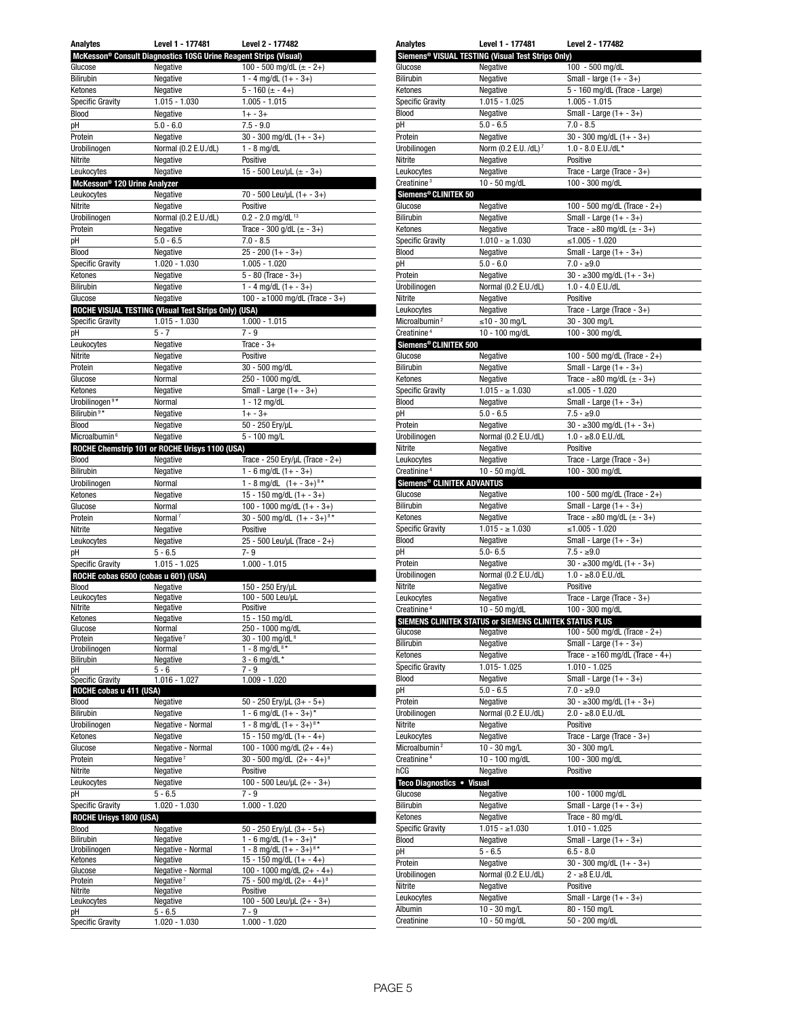| Analytes                                 | Level 1 - 177481                                                             | Level 2 - 177482                                                           |
|------------------------------------------|------------------------------------------------------------------------------|----------------------------------------------------------------------------|
|                                          | McKesson <sup>®</sup> Consult Diagnostics 10SG Urine Reagent Strips (Visual) |                                                                            |
| Glucose                                  | Negative                                                                     | 100 - 500 mg/dL $(\pm$ - 2+)                                               |
| Bilirubin                                | Negative                                                                     | 1 - 4 mg/dL $(1 + -3+)$                                                    |
| Ketones                                  | Negative                                                                     | $5 - 160 (= -4+)$                                                          |
| <b>Specific Gravity</b>                  | $1.015 - 1.030$                                                              | $1.005 - 1.015$                                                            |
| Blood                                    | Negative                                                                     | $1 + -3 +$                                                                 |
| pH                                       | $5.0 - 6.0$                                                                  | $7.5 - 9.0$                                                                |
| Protein                                  | Negative                                                                     | 30 - 300 mg/dL $(1 + -3 +)$                                                |
| Urobilinogen                             | Normal (0.2 E.U./dL)                                                         | $1 - 8$ mg/dL                                                              |
| Nitrite                                  | Negative                                                                     | Positive                                                                   |
| Leukocytes                               | Negative                                                                     | 15 - 500 Leu/uL $(\pm$ - 3+)                                               |
| McKesson <sup>®</sup> 120 Urine Analyzer |                                                                              |                                                                            |
| Leukocytes                               | Negative                                                                     | 70 - 500 Leu/µL (1+ - 3+)                                                  |
| Nitrite                                  | Negative                                                                     | Positive                                                                   |
| Urobilinogen                             | Normal (0.2 E.U./dL)                                                         | $0.2 - 2.0$ mg/dL <sup>13</sup>                                            |
| Protein                                  | Negative                                                                     | Trace - 300 g/dL $(\pm$ - 3+)                                              |
| рH                                       | $5.0 - 6.5$                                                                  | $7.0 - 8.5$                                                                |
| Blood                                    | Negative                                                                     | $25 - 200(1 + - 3+)$                                                       |
| <b>Specific Gravity</b>                  | 1.020 - 1.030                                                                | $1.005 - 1.020$                                                            |
| Ketones                                  | Negative                                                                     | $5 - 80$ (Trace $-3+$ )                                                    |
| Bilirubin                                | Negative                                                                     | 1 - 4 mg/dL $(1 + -3+)$                                                    |
| Glucose                                  | Negative                                                                     | 100 - ≥1000 mg/dL (Trace - 3+)                                             |
|                                          | ROCHE VISUAL TESTING (Visual Test Strips Only) (USA)                         |                                                                            |
| <b>Specific Gravity</b>                  | 1.015 - 1.030                                                                | $1.000 - 1.015$                                                            |
| рH                                       | $5 - 7$                                                                      | $7 - 9$                                                                    |
| Leukocytes                               | Negative                                                                     | Trace - $3+$                                                               |
| Nitrite                                  | Negative                                                                     | Positive                                                                   |
| Protein                                  | Negative                                                                     | 30 - 500 mg/dL                                                             |
| Glucose                                  | Normal                                                                       | 250 - 1000 mg/dL                                                           |
| Ketones                                  | Negative                                                                     | Small - Large $(1 + -3+)$                                                  |
| Urobilinogen <sup>9*</sup>               | Normal                                                                       | $1 - 12$ mg/dL                                                             |
| Bilirubin <sup>9*</sup>                  | Negative                                                                     | $1 + -3 +$                                                                 |
| Blood                                    | Negative                                                                     | 50 - 250 Ery/µL                                                            |
| Microalbumin <sup>6</sup>                | Negative                                                                     | 5 - 100 mg/L                                                               |
|                                          | ROCHE Chemstrip 101 or ROCHE Urisys 1100 (USA)                               |                                                                            |
| Blood                                    | Negative                                                                     | Trace - 250 Ery/µL (Trace - $2+)$                                          |
| Bilirubin                                | Negative                                                                     | 1 - 6 mg/dL $(1 + -3+)$                                                    |
| Urobilinogen                             | Normal                                                                       | 1 - 8 mg/dL $(1 + -3 +)^{8*}$                                              |
| Ketones                                  | Negative                                                                     | 15 - 150 mg/dL $(1 + -3+)$                                                 |
| Glucose                                  | Normal                                                                       | 100 - 1000 mg/dL $(1 + -3 +)$                                              |
|                                          | Normal <sup>7</sup>                                                          | 30 - 500 mg/dL $(1 + -3 +)$ <sup>8*</sup>                                  |
| Protein                                  |                                                                              |                                                                            |
| Nitrite                                  | Negative                                                                     | Positive                                                                   |
| Leukocytes                               | Negative                                                                     | 25 - 500 Leu/µL (Trace - 2+)                                               |
| рH                                       | $5 - 6.5$                                                                    | 7-9                                                                        |
| <b>Specific Gravity</b>                  | 1.015 - 1.025                                                                | $1.000 - 1.015$                                                            |
| ROCHE cobas 6500 (cobas u 601) (USA)     |                                                                              |                                                                            |
| Blood                                    | Negative                                                                     | 150 - 250 Ery/uL                                                           |
| Leukocytes<br>Nitrite                    | Negative<br>Negative                                                         | 100 - 500 Leu/µL<br>Positive                                               |
| Ketones                                  | Negative                                                                     | 15 - 150 mg/dL                                                             |
| Glucose                                  | Normal                                                                       | 250 - 1000 mg/dL                                                           |
| Protein                                  | Negative $7$                                                                 | 30 - 100 mg/dL <sup>8</sup>                                                |
| Urobilinogen                             | Normal                                                                       | 1 - 8 mg/dL $8*$                                                           |
| Bilirubin                                | Negative                                                                     | $3 - 6$ mg/dL *                                                            |
| pН                                       | 5 - 6                                                                        | $7 - 9$                                                                    |
| Specific Gravity                         | 1.016 - 1.027                                                                | 1.009 - 1.020                                                              |
| ROCHE cobas u 411 (USA)                  |                                                                              |                                                                            |
| Blood                                    | Negative                                                                     | $50 - 250$ Ery/µL $(3 + -5+)$                                              |
| <b>Bilirubin</b>                         | Negative                                                                     | 1 - 6 mg/dL $(1 + -3 +)^*$                                                 |
| Urobilinogen                             | Negative - Normal                                                            | 1 - 8 mg/dL $(1 + -3 +)^{8*}$                                              |
| Ketones                                  | Negative                                                                     | 15 - 150 mg/dL $(1 + - 4 +)$                                               |
| Glucose                                  | Negative - Normal                                                            | 100 - 1000 mg/dL $(2 + - 4 +)$                                             |
| Protein                                  | Negative <sup>7</sup>                                                        | $30 - 500$ ma/dL $(2 + -4 +)$ <sup>8</sup>                                 |
| Nitrite                                  | Negative                                                                     | Positive                                                                   |
| Leukocytes                               | Negative                                                                     | 100 - 500 Leu/µL (2+ - 3+)                                                 |
| рH                                       | $5 - 6.5$                                                                    | $7 - 9$                                                                    |
| Specific Gravity                         | 1.020 - 1.030                                                                | $1.000 - 1.020$                                                            |
| ROCHE Urisys 1800 (USA)                  |                                                                              |                                                                            |
| Blood                                    | Negative                                                                     | $50 - 250$ Ery/µL $(3 + -5 +)$                                             |
| Bilirubin                                | Negative                                                                     | 1 - 6 mg/dL $(1 + -3 +)^*$                                                 |
| Urobilinogen                             | Negative - Normal                                                            | 1 - 8 mg/dL $(1 + -3 +)^{8*}$                                              |
| Ketones                                  | Negative                                                                     | 15 - 150 mg/dL $(1 + - 4 +)$                                               |
| Glucose<br>Protein                       | Negative - Normal<br>Negative $7$                                            | 100 - 1000 mg/dL $(2 + - 4 +)$<br>75 - 500 mg/dL $(2 + -4 +)$ <sup>8</sup> |
| Nitrite                                  | Negative                                                                     | Positive                                                                   |
| Leukocytes                               | Negative                                                                     | 100 - 500 Leu/µL $(2 + -3+)$                                               |
| pН                                       | $5 - 6.5$                                                                    | $7 - 9$                                                                    |
| <b>Specific Gravity</b>                  | 1.020 - 1.030                                                                | 1.000 - 1.020                                                              |

| <b>Analytes</b>                         | Level 1 - 177481                                        | Level 2 - 177482                                       |
|-----------------------------------------|---------------------------------------------------------|--------------------------------------------------------|
|                                         | Siemens® VISUAL TESTING (Visual Test Strips Only)       |                                                        |
| Glucose                                 | Negative                                                | 100 - 500 mg/dL                                        |
| Bilirubin                               | Negative                                                | Small - large $(1 + -3+)$                              |
| Ketones                                 | Negative                                                | 5 - 160 mg/dL (Trace - Large)                          |
| <b>Specific Gravity</b>                 | $1.015 - 1.025$                                         | $1.005 - 1.015$                                        |
| <b>Blood</b><br>рH                      | Negative<br>$5.0 - 6.5$                                 | Small - Large $(1 + -3+)$<br>$7.0 - 8.5$               |
| Protein                                 | Negative                                                | $30 - 300$ mg/dL $(1 + -3+)$                           |
| Urobilinogen                            | Norm (0.2 E.U. /dL) 7                                   | $1.0 - 8.0$ E.U./dL *                                  |
| Nitrite                                 | Negative                                                | Positive                                               |
| Leukocytes                              | Negative                                                | Trace - Large (Trace - 3+)                             |
| Creatinine <sup>3</sup>                 | 10 - 50 mg/dL                                           | 100 - 300 mg/dL                                        |
| Siemens® CLINITEK 50                    |                                                         |                                                        |
| Glucose                                 | Negative                                                | 100 - 500 mg/dL (Trace - 2+)                           |
| Bilirubin                               | Negative                                                | Small - Large $(1 + -3+)$                              |
| Ketones                                 | Negative                                                | Trace - $\geq 80$ mg/dL ( $\pm$ - 3+)                  |
| <b>Specific Gravity</b>                 | $1.010 - \ge 1.030$                                     | ≤1.005 - 1.020                                         |
| <b>Blood</b><br>pH                      | Negative<br>$5.0 - 6.0$                                 | Small - Large $(1 + -3+)$<br>$7.0 - \ge 9.0$           |
| Protein                                 | Negative                                                | $30 - 300$ mg/dL $(1 + -3)$                            |
| Urobilinogen                            | Normal (0.2 E.U./dL)                                    | $1.0 - 4.0$ E.U./dL                                    |
| Nitrite                                 | Negative                                                | Positive                                               |
| Leukocytes                              | Negative                                                | Trace - Large (Trace - $3+$ )                          |
| Microalbumin <sup>2</sup>               | ≤10 - 30 mg/L                                           | 30 - 300 mg/L                                          |
| Creatinine <sup>4</sup>                 | 10 - 100 mg/dL                                          | 100 - 300 mg/dL                                        |
| Siemens® CLINITEK 500                   |                                                         |                                                        |
| Glucose                                 | Negative                                                | 100 - 500 mg/dL (Trace - 2+)                           |
| <b>Bilirubin</b>                        | Negative                                                | Small - Large $(1 + -3+)$                              |
| Ketones                                 | Negative                                                | Trace - ≥80 mg/dL (± - 3+)                             |
| <b>Specific Gravity</b><br><b>Blood</b> | $1.015 - \ge 1.030$                                     | ≤1.005 - 1.020                                         |
| pH                                      | Negative<br>$5.0 - 6.5$                                 | Small - Large $(1 + -3+)$<br>$7.5 - 29.0$              |
| Protein                                 | Negative                                                | $30 - 300$ mg/dL $(1 + - 3)$                           |
| Urobilinogen                            | Normal (0.2 E.U./dL)                                    | $1.0 - \ge 8.0$ E.U./dL                                |
| Nitrite                                 | Negative                                                | Positive                                               |
| Leukocytes                              | Negative                                                | Trace - Large (Trace - 3+)                             |
| Creatinine <sup>4</sup>                 | 10 - 50 mg/dL                                           | 100 - 300 mg/dL                                        |
| <b>Siemens® CLINITEK ADVANTUS</b>       |                                                         |                                                        |
|                                         |                                                         |                                                        |
| Glucose                                 | Negative                                                | 100 - 500 mg/dL (Trace - 2+)                           |
| Bilirubin                               | Negative                                                | Small - Large $(1 + -3+)$                              |
| Ketones                                 | Negative                                                | Trace - $\geq 80$ mg/dL ( $\pm$ - 3+)                  |
| <b>Specific Gravity</b>                 | $1.015 - \ge 1.030$                                     | ≤1.005 - 1.020                                         |
| <b>Blood</b>                            | Negative                                                | Small - Large $(1 + -3+)$                              |
| рH                                      | $5.0 - 6.5$                                             | $7.5 - 29.0$                                           |
| Protein<br>Urobilinogen                 | Negative<br>Normal (0.2 E.U./dL)                        | $30 - 300$ mg/dL $(1 + -3)$<br>$1.0 - \ge 8.0$ E.U./dL |
| Nitrite                                 | Negative                                                | Positive                                               |
| Leukocytes                              | Negative                                                | Trace - Large (Trace - 3+)                             |
| Creatinine <sup>4</sup>                 | 10 - 50 mg/dL                                           | 100 - 300 mg/dL                                        |
|                                         | SIEMENS CLINITEK STATUS or SIEMENS CLINITEK STATUS PLUS |                                                        |
| Glucose                                 | Negative                                                | 100 - 500 mg/dL (Trace - 2+)                           |
| Bilirubin                               | Negative                                                | Small - Large $(1 + -3+)$                              |
| Ketones                                 | Negative                                                | Trace - $\geq 160$ mg/dL (Trace - 4+)                  |
| <b>Specific Gravity</b>                 | 1.015-1.025                                             | $1.010 - 1.025$                                        |
| <b>Blood</b>                            | Negative                                                | Small - Large $(1 + -3+)$                              |
| pH                                      | $5.0 - 6.5$                                             | $7.0 - \ge 9.0$                                        |
| Protein<br>Urobilinogen                 | Negative<br>Normal (0.2 E.U./dL)                        | $30 - 300$ mg/dL $(1 + -3)$<br>$2.0 - 8.0$ E.U./dL     |
| Nitrite                                 | Negative                                                | Positive                                               |
| Leukocytes                              | Negative                                                | Trace - Large (Trace - $3+$ )                          |
| Microalbumin <sup>2</sup>               | 10 - 30 mg/L                                            | 30 - 300 mg/L                                          |
| Creatinine <sup>4</sup>                 | 10 - 100 mg/dL                                          | 100 - 300 mg/dL                                        |
| hCG                                     | Negative                                                | Positive                                               |
| Teco Diagnostics . Visual               |                                                         |                                                        |
| Glucose                                 | Negative                                                | 100 - 1000 mg/dL                                       |
| Bilirubin                               | Negative                                                | Small - Large $(1 + -3+)$                              |
| Ketones                                 | Negative                                                | Trace - 80 mg/dL                                       |
| <b>Specific Gravity</b><br>Blood        | $1.015 - 1.030$<br>Negative                             | $1.010 - 1.025$<br>Small - Large $(1 + -3+)$           |
| рH                                      | $5 - 6.5$                                               | $6.5 - 8.0$                                            |
| Protein                                 | Negative                                                | $30 - 300$ mg/dL $(1 + -3)$                            |
| Urobilinogen                            | Normal (0.2 E.U./dL)                                    | 2 - ≥8 E.U./dL                                         |
| Nitrite                                 | Negative                                                | Positive                                               |
| Leukocytes                              | Negative                                                | Small - Large $(1 + -3+)$                              |
| Albumin<br>Creatinine                   | 10 - 30 mg/L<br>10 - 50 mg/dL                           | 80 - 150 mg/L<br>50 - 200 mg/dL                        |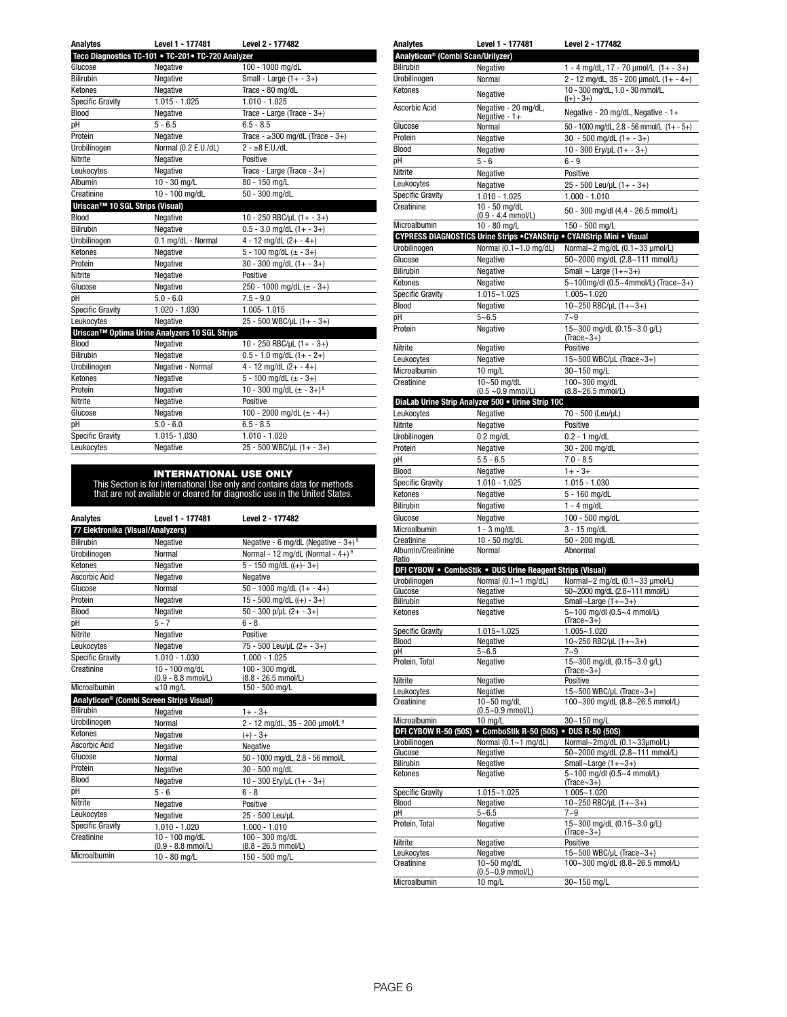| <b>Analytes</b>                 | Level 1 - 177481                                   | Level 2 - 177482                           |
|---------------------------------|----------------------------------------------------|--------------------------------------------|
|                                 | Teco Diagnostics TC-101 . TC-201 . TC-720 Analyzer |                                            |
| Glucose                         | Negative                                           | 100 - 1000 mg/dL                           |
| <b>Bilirubin</b>                | Negative                                           | Small - Large $(1 + -3+)$                  |
| Ketones                         | Negative                                           | Trace - 80 mg/dL                           |
| <b>Specific Gravity</b>         | $1.015 - 1.025$                                    | $1.010 - 1.025$                            |
| <b>Blood</b>                    | Negative                                           | Trace - Large (Trace - $3+$ )              |
| pН                              | $5 - 6.5$                                          | $6.5 - 8.5$                                |
| Protein                         | Negative                                           | Trace - $\geq$ 300 mg/dL (Trace - 3+)      |
| Urobilinogen                    | Normal (0.2 E.U./dL)                               | $2 - \ge 8$ E.U./dL                        |
| Nitrite                         | Negative                                           | Positive                                   |
| Leukocytes                      | Negative                                           | Trace - Large (Trace - $3+$ )              |
| Albumin                         | $10 - 30$ mg/L                                     | 80 - 150 mg/L                              |
| Creatinine                      | 10 - 100 mg/dL                                     | 50 - 300 mg/dL                             |
| Uriscan™ 10 SGL Strips (Visual) |                                                    |                                            |
| Blood                           | Negative                                           | 10 - 250 RBC/µL $(1 + -3+)$                |
| <b>Bilirubin</b>                | Negative                                           | $0.5 - 3.0$ mg/dL $(1 + -3+)$              |
| Urobilinogen                    | 0.1 mg/dL - Normal                                 | $4 - 12$ mg/dL $(2 + - 4 +)$               |
| Ketones                         | Negative                                           | 5 - 100 mg/dL $(\pm - 3+)$                 |
| Protein                         | Negative                                           | $30 - 300$ mg/dL $(1 + - 3)$               |
| Nitrite                         | Negative                                           | Positive                                   |
| Glucose                         | Negative                                           | 250 - 1000 mg/dL $(\pm$ - 3+)              |
| pН                              | $5.0 - 6.0$                                        | $7.5 - 9.0$                                |
| <b>Specific Gravity</b>         | 1.020 - 1.030                                      | 1.005-1.015                                |
| Leukocytes                      | Negative                                           | 25 - 500 WBC/µL (1+ - 3+)                  |
|                                 | Uriscan™ Optima Urine Analyzers 10 SGL Strips      |                                            |
| <b>Blood</b>                    | Negative                                           | 10 - 250 RBC/µL $(1 + -3+)$                |
| <b>Bilirubin</b>                | Negative                                           | $0.5 - 1.0$ mg/dL $(1 + - 2+)$             |
| Urobilinogen                    | Negative - Normal                                  | $4 - 12$ mg/dL $(2 + - 4 +)$               |
| Ketones                         | Negative                                           | $\frac{1}{5}$ - 100 mg/dL (± - 3+)         |
| Protein                         | Negative                                           | 10 - 300 mg/dL $(\pm - 3 + )$ <sup>8</sup> |
| Nitrite                         | Negative                                           | Positive                                   |
| Glucose                         | Negative                                           | 100 - 2000 mg/dL $(\pm - 4+)$              |
| pН                              | $5.0 - 6.0$                                        | $6.5 - 8.5$                                |
| <b>Specific Gravity</b>         | 1.015-1.030                                        | $1.010 - 1.020$                            |
| Leukocytes                      | Negative                                           | 25 - 500 WBC/µL (1+ - 3+)                  |
|                                 |                                                    |                                            |

**INTERNATIONAL USE ONLY**<br>This Section is for International Use only and contains data for methods<br>that are not available or cleared for diagnostic use in the United States.

| <b>Analytes</b>                   | Level 1 - 177481                                     | Level 2 - 177482                                   |
|-----------------------------------|------------------------------------------------------|----------------------------------------------------|
| 77 Elektronika (Visual/Analyzers) |                                                      |                                                    |
| <b>Bilirubin</b>                  | Negative                                             | Negative - 6 mg/dL (Negative - $3+$ ) <sup>9</sup> |
| Urobilinogen                      | Normal                                               | Normal - 12 mg/dL (Normal - $4+$ ) <sup>9</sup>    |
| Ketones                           | Negative                                             | $5 - 150$ mg/dL $((+) - 3+)$                       |
| Ascorbic Acid                     | Negative                                             | Negative                                           |
| Glucose                           | Normal                                               | 50 - 1000 mg/dL $(1 + - 4 +)$                      |
| Protein                           | Negative                                             | $15 - 500$ mg/dL $((+) - 3+)$                      |
| Blood                             | Negative                                             | $50 - 300$ p/µL $(2 + -3 +)$                       |
| pН                                | $5 - 7$                                              | $6 - 8$                                            |
| Nitrite                           | Negative                                             | Positive                                           |
| Leukocytes                        | Negative                                             | 75 - 500 Leu/µL (2+ - 3+)                          |
| Specific Gravity                  | $1.010 - 1.030$                                      | $1.000 - 1.025$                                    |
| Creatinine                        | 10 - 100 mg/dL                                       | 100 - 300 mg/dL                                    |
|                                   | (0.9 - 8.8 mmol/L)                                   | (8.8 - 26.5 mmol/L)                                |
| Microalbumin                      | $\leq 10$ mg/L                                       | 150 - 500 mg/L                                     |
|                                   | Analyticon <sup>®</sup> (Combi Screen Strips Visual) |                                                    |
| Bilirubin                         | Negative                                             | $1 + -3 +$                                         |
| Urobilinogen                      | Normal                                               | 2 - 12 mg/dL, 35 - 200 µmol/L 9                    |
| Ketones                           | Negative                                             | $(+) - 3 +$                                        |
| Ascorbic Acid                     | Negative                                             | Negative                                           |
| Glucose                           | Normal                                               | 50 - 1000 mg/dL, 2.8 - 56 mmol/L                   |
| Protein                           | Negative                                             | 30 - 500 mg/dL                                     |
| Blood                             | Negative                                             | 10 - 300 Ery/µL $(1 + -3+)$                        |
| pН                                | $5 - 6$                                              | $6 - 8$                                            |
| Nitrite                           | Negative                                             | Positive                                           |
| Leukocytes                        | Negative                                             | 25 - 500 Leu/uL                                    |
| Specific Gravity                  | $1.010 - 1.020$                                      | $1.000 - 1.010$                                    |
| Creatinine                        | $10 - 100$ mg/dL                                     | $100 - 300$ mg/dL                                  |
|                                   | $(0.9 - 8.8$ mmol/L)                                 | $(8.8 - 26.5$ mmol/L)                              |
| Microalbumin                      | 10 - 80 mg/L                                         | 150 - 500 mg/L                                     |

| Analytes                                      | Level 1 - 177481                                                       | Level 2 - 177482                                            |
|-----------------------------------------------|------------------------------------------------------------------------|-------------------------------------------------------------|
| Analyticon <sup>®</sup> (Combi Scan/Urilyzer) |                                                                        |                                                             |
| Bilirubin                                     | Negative                                                               | 1 - 4 mg/dL, 17 - 70 $\mu$ mol/L (1+ - 3+)                  |
| Urobilinogen                                  | Normal                                                                 | 2 - 12 mg/dL, 35 - 200 µmol/L (1+ - 4+)                     |
| Ketones                                       | Negative                                                               | 10 - 300 mg/dL, 1.0 - 30 mmol/L,                            |
|                                               |                                                                        | $((+) - 3+)$                                                |
| Ascorbic Acid                                 | Negative - 20 mg/dL,<br>Negative - 1+                                  | Negative - 20 mg/dL, Negative - 1+                          |
| Glucose                                       | Normal                                                                 | 50 - 1000 mg/dL, 2.8 - 56 mmol/L $(1 + -5 +)$               |
| Protein                                       | Negative                                                               | $30 - 500$ mg/dL $(1 + -3+)$                                |
| Blood                                         | Negative                                                               | 10 - 300 Ery/uL (1+ - 3+)                                   |
| рH                                            | 5 - 6                                                                  | $6 - 9$                                                     |
| Nitrite                                       | Negative                                                               | Positive                                                    |
| Leukocytes                                    | Negative                                                               | 25 - 500 Leu/µL (1+ - 3+)                                   |
| <b>Specific Gravity</b>                       | 1.010 - 1.025                                                          | $1.000 - 1.010$                                             |
| Creatinine                                    | 10 - 50 mg/dL<br>$(0.9 - 4.4$ mmol/L)                                  | 50 - 300 mg/dl (4.4 - 26.5 mmol/L)                          |
| Microalbumin                                  | 10 - 80 mg/L                                                           | 150 - 500 mg/L                                              |
|                                               | CYPRESS DIAGNOSTICS Urine Strips . CYANStrip . CYANStrip Mini . Visual |                                                             |
| Urobilinogen                                  | Normal (0.1~1.0 mg/dL)                                                 | Normal~2 mg/dL (0.1~33 µmol/L)                              |
| Glucose                                       | Negative                                                               | 50~2000 mg/dL (2.8~111 mmol/L)                              |
| <b>Bilirubin</b>                              | Negative                                                               | Small $\sim$ Large (1+ $\sim$ 3+)                           |
| Ketones                                       | Negative                                                               | 5~100mg/dl (0.5~4mmol/L) (Trace~3+)                         |
| <b>Specific Gravity</b>                       | 1.015~1.025                                                            | $1.005 - 1.020$                                             |
| <b>Blood</b>                                  | Negative                                                               | 10~250 RBC/µL $(1 + \sim 3+)$                               |
| pH                                            | $5 - 6.5$                                                              | $7 - 9$                                                     |
| Protein                                       | Negative                                                               | 15~300 mg/dL (0.15~3.0 g/L)<br>$(Trace~3+)$                 |
| Nitrite                                       | Negative                                                               | Positive                                                    |
| Leukocytes                                    | Negative                                                               | 15~500 WBC/µL (Trace~3+)                                    |
| Microalbumin                                  | 10 mg/L                                                                | 30~150 mg/L                                                 |
| Creatinine                                    | 10~50 mg/dL                                                            | 100~300 mg/dL                                               |
|                                               | $(0.5 - 0.9$ mmol/L)                                                   | $(8.8 - 26.5$ mmol/L)                                       |
|                                               | DiaLab Urine Strip Analyzer 500 . Urine Strip 10C                      |                                                             |
| Leukocytes                                    | Negative                                                               | 70 - 500 (Leu/µL)                                           |
| Nitrite                                       | Negative                                                               | Positive                                                    |
| Urobilinogen                                  | $0.2$ mg/dL                                                            | $0.2 - 1$ mg/dL                                             |
| Protein                                       | Negative                                                               | 30 - 200 mg/dL                                              |
| рH                                            | $5.5 - 6.5$                                                            | $7.0 - 8.5$                                                 |
| <b>Blood</b>                                  | Negative                                                               | $1 + - 3 +$                                                 |
| <b>Specific Gravity</b>                       | $1.010 - 1.025$                                                        | $1.015 - 1.030$                                             |
| Ketones                                       | Negative                                                               | 5 - 160 mg/dL                                               |
| <b>Bilirubin</b>                              | Negative                                                               | $1 - 4$ mg/dL                                               |
| Glucose                                       | Negative                                                               | 100 - 500 mg/dL                                             |
| Microalbumin<br>Creatinine                    | $1 - 3$ mg/dL<br>10 - 50 mg/dL                                         | 3 - 15 mg/dL<br>50 - 200 mg/dL                              |
| Albumin/Creatinine                            | Normal                                                                 | Abnormal                                                    |
| Ratio                                         |                                                                        |                                                             |
|                                               | DFI CYBOW . ComboStik . DUS Urine Reagent Strips (Visual)              |                                                             |
| Urobilinogen                                  | Normal (0.1~1 mg/dL)                                                   | Normal~2 mg/dL (0.1~33 µmol/L)                              |
| Glucose                                       | Negative                                                               | 50~2000 mg/dL (2.8~111 mmol/L)                              |
| <b>Bilirubin</b>                              | Negative                                                               | Small~Large $(1+-3+)$                                       |
| Retories                                      | Negative                                                               | 5~100 mg/dl (0.5~4 mmol/L)<br>$(Trace~3+)$                  |
| <b>Specific Gravity</b>                       | 1.015~1.025                                                            | $1.005 - 1.020$                                             |
| Blood                                         | Negative                                                               | 10~250 RBC/µL $(1+-3+)$                                     |
| рH                                            | $5 - 6.5$                                                              | $7 - 9$                                                     |
| Protein, Total                                | Negative                                                               | 15~300 mg/dL (0.15~3.0 g/L)                                 |
| Nitrite                                       |                                                                        | $(Trace~3+)$<br>Positive                                    |
| Leukocytes                                    | Negative<br>Negative                                                   | 15~500 WBC/µL (Trace~3+)                                    |
| Creatinine                                    | 10~50 mg/dL                                                            | 100~300 mg/dL (8.8~26.5 mmol/L)                             |
|                                               | $(0.5 - 0.9$ mmol/L)                                                   |                                                             |
| Microalbumin                                  | 10 mg/L                                                                | 30~150 mg/L                                                 |
| DFI CYBOW R-50 (50S)                          | • ComboStik R-50 (50S) • DUS R-50 (50S)                                |                                                             |
| Urobilinogen                                  | Normal (0.1~1 mg/dL)                                                   | Normal~2mg/dL (0.1~33µmol/L)                                |
| Glucose<br><b>Bilirubin</b>                   | Negative<br>Negative                                                   | 50~2000 mg/dL (2.8~111 mmol/L)<br>Small~Large $(1+-3+)$     |
| Ketones                                       | Negative                                                               | 5~100 mg/dl (0.5~4 mmol/L)<br>$(Trace-3+)$                  |
| <b>Specific Gravity</b>                       | 1.015~1.025                                                            | 1.005~1.020                                                 |
| <b>Blood</b>                                  | Negative                                                               | 10~250 RBC/µL $(1+-3+)$                                     |
| рH                                            | $5 - 6.5$                                                              | $7 - 9$                                                     |
| Protein, Total                                | Negative                                                               | 15~300 mg/dL (0.15~3.0 g/L)                                 |
|                                               |                                                                        | $(Trace-3+)$                                                |
| Nitrite                                       | Negative                                                               | Positive                                                    |
| Leukocytes<br>Creatinine                      | Negative<br>10~50 mg/dL                                                | 15~500 WBC/µL (Trace~3+)<br>100~300 mg/dL (8.8~26.5 mmol/L) |
|                                               | $(0.5 - 0.9$ mmol/L)                                                   |                                                             |
| Microalbumin                                  | 10 mg/L                                                                | 30~150 mg/L                                                 |
|                                               |                                                                        |                                                             |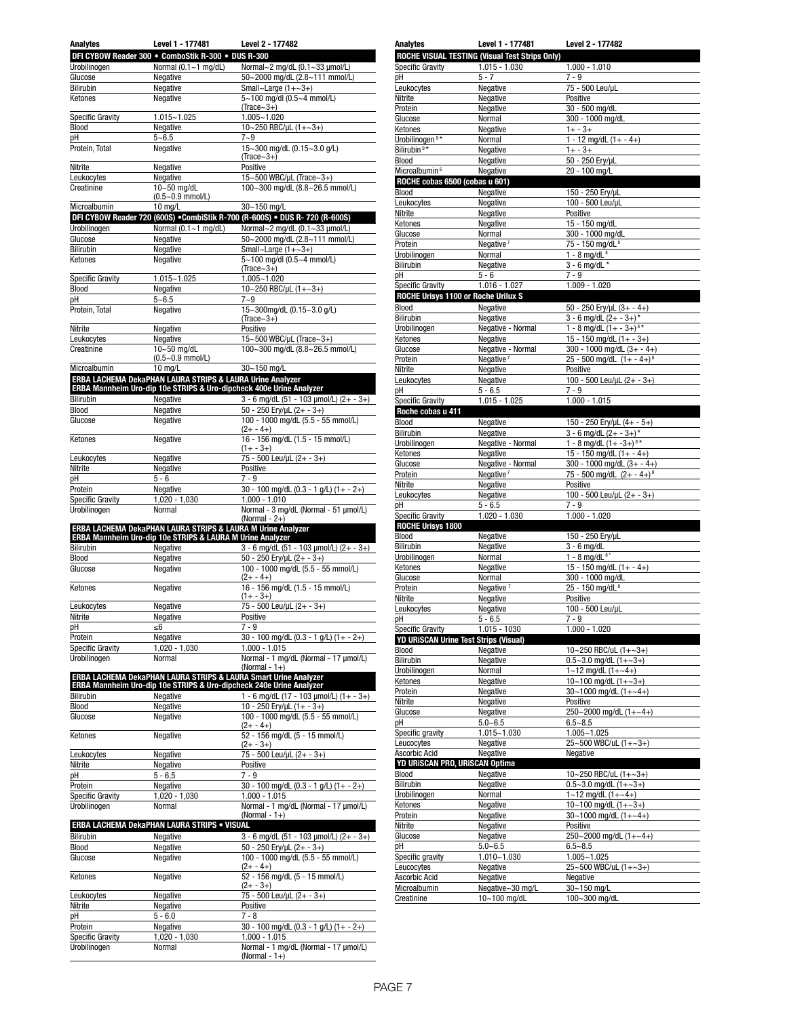| Analytes                                | Level 1 - 177481                                                     | Level 2 - 177482                                                                                                                       |
|-----------------------------------------|----------------------------------------------------------------------|----------------------------------------------------------------------------------------------------------------------------------------|
|                                         | DFI CYBOW Reader 300 . ComboStik R-300 . DUS R-300                   |                                                                                                                                        |
| Urobilinogen                            | Normal $(0.1 - 1$ mg/dL)                                             | Normal~2 mg/dL (0.1~33 µmol/L)                                                                                                         |
| Glucose                                 | Negative                                                             | 50~2000 mg/dL (2.8~111 mmol/L)                                                                                                         |
| Bilirubin                               | Negative                                                             | Small~Large $(1+-3+)$                                                                                                                  |
| Ketones                                 | Negative                                                             | 5~100 mg/dl (0.5~4 mmol/L)                                                                                                             |
|                                         |                                                                      | (Trace $\sim$ 3+)                                                                                                                      |
| <b>Specific Gravity</b>                 | $1.015 - 1.025$                                                      | $1.005 - 1.020$                                                                                                                        |
| Blood                                   | Negative                                                             | 10~250 RBC/µL (1+~3+)<br>$7 - 9$                                                                                                       |
| рH<br>Protein, Total                    | $5 - 6.5$<br>Negative                                                | 15~300 mg/dL (0.15~3.0 g/L)                                                                                                            |
|                                         |                                                                      | $(Trace~3+)$                                                                                                                           |
| Nitrite                                 | Negative                                                             | Positive                                                                                                                               |
| Leukocytes                              | Negative                                                             | 15~500 WBC/µL (Trace~3+)                                                                                                               |
| Creatinine                              | 10~50 mg/dL                                                          | 100~300 mg/dL (8.8~26.5 mmol/L)                                                                                                        |
|                                         | $(0.5 - 0.9$ mmol/L)                                                 |                                                                                                                                        |
| Microalbumin                            | 10 mg/L                                                              | 30~150 mg/L                                                                                                                            |
|                                         |                                                                      | DFI CYBOW Reader 720 (600S) . CombiStik R-700 (R-600S) . DUS R-720 (R-600S)                                                            |
| Urobilinogen                            | Normal $(0.1 - 1$ mg/dL)                                             | Normal~2 mg/dL (0.1~33 µmol/L)                                                                                                         |
| Glucose                                 | Negative                                                             | 50~2000 mg/dL (2.8~111 mmol/L)                                                                                                         |
| Bilirubin                               | Negative                                                             | Small~Large $(1+-3+)$                                                                                                                  |
| Ketones                                 | Negative                                                             | 5~100 mg/dl (0.5~4 mmol/L)<br>$(Trace-3+)$                                                                                             |
| <b>Specific Gravity</b>                 | $1.015 - 1.025$                                                      | 1.005~1.020                                                                                                                            |
| <b>Blood</b>                            | Negative                                                             | 10~250 RBC/µL (1+~3+)                                                                                                                  |
| рH                                      | $5 - 6.5$                                                            | $7 - 9$                                                                                                                                |
| Protein, Total                          | Negative                                                             | 15~300mg/dL (0.15~3.0 g/L)                                                                                                             |
|                                         |                                                                      | $(Trace~3+)$                                                                                                                           |
| Nitrite                                 | Negative                                                             | Positive                                                                                                                               |
| Leukocytes                              | Negative                                                             | 15~500 WBC/uL (Trace~3+)                                                                                                               |
| Creatinine                              | 10~50 mg/dL                                                          | 100~300 mg/dL (8.8~26.5 mmol/L)                                                                                                        |
|                                         | $(0.5 - 0.9$ mmol/L)                                                 |                                                                                                                                        |
| Microalbumin                            | 10 mg/L<br>ERBA LACHEMA DekaPHAN LAURA STRIPS & LAURA Urine Analyzer | 30~150 mg/L                                                                                                                            |
|                                         |                                                                      | ERBA Mannheim Uro-dip 10e STRIPS & Uro-dipcheck 400e Urine Analyzer                                                                    |
| Bilirubin                               | Negative                                                             | $3 - 6$ mg/dL (51 - 103 µmol/L) (2+ - 3+)                                                                                              |
| Blood                                   | Negative                                                             | 50 - 250 Ery/µL (2+ - 3+)                                                                                                              |
| Glucose                                 | Negative                                                             | 100 - 1000 mg/dL (5.5 - 55 mmol/L)                                                                                                     |
|                                         |                                                                      | $(2 + - 4+)$                                                                                                                           |
| Ketones                                 | Negative                                                             | 16 - 156 mg/dL (1.5 - 15 mmol/L)                                                                                                       |
|                                         |                                                                      | $(1 + -3 +)$                                                                                                                           |
| Leukocytes                              | Negative                                                             | 75 - 500 Leu/µL (2+ - 3+)                                                                                                              |
| Nitrite                                 | Negative                                                             | Positive                                                                                                                               |
| рH                                      | $5 - 6$                                                              | $7 - 9$                                                                                                                                |
| Protein                                 | Negative                                                             | 30 - 100 mg/dL (0.3 - 1 g/L) (1+ - 2+)<br>$1.000 - 1.010$                                                                              |
| <b>Specific Gravity</b><br>Urobilinogen | 1,020 - 1,030<br>Normal                                              | Normal - 3 mg/dL (Normal - 51 µmol/L)                                                                                                  |
|                                         |                                                                      | (Normal - $2+$ )                                                                                                                       |
|                                         | ERBA LACHEMA DekaPHAN LAURA STRIPS & LAURA M Urine Analyzer          |                                                                                                                                        |
|                                         | ERBA Mannheim Uro-dip 10e STRIPS & LAURA M Urine Analyzer            |                                                                                                                                        |
| Bilirubin                               | Negative                                                             | $3 - 6$ mg/dL (51 - 103 µmol/L) (2+ - 3+)                                                                                              |
| <b>Blood</b>                            | Negative                                                             | 50 - 250 Ery/uL $(2 + -3 +)$                                                                                                           |
| Glucose                                 | Negative                                                             | 100 - 1000 mg/dL (5.5 - 55 mmol/L)                                                                                                     |
|                                         |                                                                      | $(2 + - 4+)$<br>16 - 156 mg/dL (1.5 - 15 mmol/L)                                                                                       |
| Ketones                                 | Negative                                                             | $(1 + -3 +)$                                                                                                                           |
| Leukocytes                              | Negative                                                             | 75 - 500 Leu/µL (2+ - 3+)                                                                                                              |
| Nitrite                                 | Negative                                                             | Positive                                                                                                                               |
| рH                                      | ≤6                                                                   | $7 - 9$                                                                                                                                |
| Protein                                 | Negative                                                             | 30 - 100 mg/dL (0.3 - 1 g/L) (1+ - 2+)                                                                                                 |
| <b>Specific Gravity</b>                 | 1,020 - 1,030                                                        | 1.000 - 1.015                                                                                                                          |
| Urobilinogen                            | Normal                                                               | Normal - 1 mg/dL (Normal - 17 µmol/L)                                                                                                  |
|                                         |                                                                      | (Normal - $1+$ )                                                                                                                       |
|                                         |                                                                      | ERBA LACHEMA DekaPHAN LAURA STRIPS & LAURA Smart Urine Analyzer<br>ERBA Mannheim Uro-dip 10e STRIPS & Uro-dipcheck 240e Urine Analyzer |
| Bilirubin                               | Negative                                                             | 1 - 6 mg/dL (17 - 103 µmol/L) (1+ - 3+)                                                                                                |
| Blood                                   | Negative                                                             | 10 - 250 Ery/uL $(1 + -3 +)$                                                                                                           |
| Glucose                                 | Negative                                                             | 100 - 1000 mg/dL (5.5 - 55 mmol/L)                                                                                                     |
|                                         |                                                                      | $(2 + - 4 +)$                                                                                                                          |
| Ketones                                 | Negative                                                             | 52 - 156 mg/dL (5 - 15 mmol/L)                                                                                                         |
|                                         |                                                                      | $(2 + - 3 +)$                                                                                                                          |
| Leukocytes                              | Negative                                                             | 75 - 500 Leu/uL (2+ - 3+)                                                                                                              |
| Nitrite                                 | Negative                                                             | Positive                                                                                                                               |
| рH                                      | $5 - 6,5$                                                            | $7 - 9$                                                                                                                                |
| Protein<br><b>Specific Gravity</b>      | Negative                                                             | 30 - 100 mg/dL (0.3 - 1 g/L) (1+ - 2+)<br>$1.000 - 1.015$                                                                              |
| Urobilinogen                            | 1,020 - 1,030<br>Normal                                              | Normal - 1 mg/dL (Normal - 17 µmol/L)                                                                                                  |
|                                         |                                                                      | (Normal - $1+$ )                                                                                                                       |
|                                         | <b>ERBA LACHEMA DekaPHAN LAURA STRIPS . VISUAL</b>                   |                                                                                                                                        |
| <b>Bilirubin</b>                        | Negative                                                             | 3 - 6 mg/dL (51 - 103 µmol/L) (2+ - 3+)                                                                                                |
| Blood                                   | Negative                                                             | 50 - 250 Ery/uL (2+ - 3+)                                                                                                              |
| Glucose                                 | Negative                                                             | 100 - 1000 mg/dL (5.5 - 55 mmol/L)                                                                                                     |
|                                         |                                                                      | $(2 + - 4 +)$                                                                                                                          |
| Ketones                                 | Negative                                                             | 52 - 156 mg/dL (5 - 15 mmol/L)                                                                                                         |
|                                         |                                                                      | $(2 + -3 +)$                                                                                                                           |
| Leukocytes                              | Negative                                                             | 75 - 500 Leu/µL (2+ - 3+)                                                                                                              |
| Nitrite                                 | Negative                                                             | Positive                                                                                                                               |
| рH                                      | 5 - 6.0                                                              | 7 - 8                                                                                                                                  |
| Protein                                 | Negative                                                             | 30 - 100 mg/dL (0.3 - 1 g/L) (1+ - 2+)<br>$1.000 - 1.015$                                                                              |
| <b>Specific Gravity</b><br>Urobilinogen | $1,020 - 1,030$<br>Normal                                            | Normal - 1 mg/dL (Normal - 17 µmol/L)                                                                                                  |
|                                         |                                                                      | (Normal - 1+)                                                                                                                          |
|                                         |                                                                      |                                                                                                                                        |

|                                                                                                                                                                                                                                                                                                                                                                                                                                                                                                                                                 | <b>ROCHE VISUAL TESTING (Visual Test Strips Only)</b>        |                                                   |
|-------------------------------------------------------------------------------------------------------------------------------------------------------------------------------------------------------------------------------------------------------------------------------------------------------------------------------------------------------------------------------------------------------------------------------------------------------------------------------------------------------------------------------------------------|--------------------------------------------------------------|---------------------------------------------------|
| <b>Specific Gravity</b>                                                                                                                                                                                                                                                                                                                                                                                                                                                                                                                         | $1.015 - 1.030$                                              | $1.000 - 1.010$                                   |
| рH                                                                                                                                                                                                                                                                                                                                                                                                                                                                                                                                              | $5 - 7$                                                      | $7 - 9$                                           |
| Leukocytes                                                                                                                                                                                                                                                                                                                                                                                                                                                                                                                                      | Negative                                                     | 75 - 500 Leu/µL                                   |
| Nitrite                                                                                                                                                                                                                                                                                                                                                                                                                                                                                                                                         | Negative                                                     | Positive<br>30 - 500 mg/dL                        |
| Protein                                                                                                                                                                                                                                                                                                                                                                                                                                                                                                                                         | Negative                                                     |                                                   |
| Glucose                                                                                                                                                                                                                                                                                                                                                                                                                                                                                                                                         | Normal                                                       | 300 - 1000 mg/dL                                  |
| Ketones                                                                                                                                                                                                                                                                                                                                                                                                                                                                                                                                         | Negative                                                     | $1 + -3 +$                                        |
| Urobilinogen <sup>9*</sup>                                                                                                                                                                                                                                                                                                                                                                                                                                                                                                                      | Normal                                                       | $1 - 12$ mg/dL $(1 + - 4+)$                       |
| Bilirubin <sup>9*</sup>                                                                                                                                                                                                                                                                                                                                                                                                                                                                                                                         | Negative                                                     | $1 + -3 +$                                        |
| Blood                                                                                                                                                                                                                                                                                                                                                                                                                                                                                                                                           | Negative                                                     | 50 - 250 Ery/µL                                   |
| Microalbumin <sup>6</sup>                                                                                                                                                                                                                                                                                                                                                                                                                                                                                                                       | Negative                                                     | 20 - 100 mg/L                                     |
| ROCHE cobas 6500 (cobas u 601)                                                                                                                                                                                                                                                                                                                                                                                                                                                                                                                  |                                                              |                                                   |
| Blood                                                                                                                                                                                                                                                                                                                                                                                                                                                                                                                                           | Negative                                                     | 150 - 250 Ery/µL                                  |
| Leukocytes                                                                                                                                                                                                                                                                                                                                                                                                                                                                                                                                      | Negative                                                     | 100 - 500 Leu/µL                                  |
| Nitrite                                                                                                                                                                                                                                                                                                                                                                                                                                                                                                                                         | Negative                                                     | Positive                                          |
| Ketones                                                                                                                                                                                                                                                                                                                                                                                                                                                                                                                                         | Negative                                                     | 15 - 150 mg/dL                                    |
| Glucose                                                                                                                                                                                                                                                                                                                                                                                                                                                                                                                                         | Normal                                                       | 300 - 1000 mg/dL                                  |
| Protein                                                                                                                                                                                                                                                                                                                                                                                                                                                                                                                                         | Negative <sup>7</sup>                                        | 75 - 150 mg/dL <sup>8</sup>                       |
| Urobilinogen                                                                                                                                                                                                                                                                                                                                                                                                                                                                                                                                    | Normal                                                       | $1 - 8$ mg/dL $8$                                 |
| Bilirubin                                                                                                                                                                                                                                                                                                                                                                                                                                                                                                                                       | Negative                                                     | $3 - 6$ mg/dL *                                   |
| рH                                                                                                                                                                                                                                                                                                                                                                                                                                                                                                                                              | $5 - 6$                                                      | $7 - 9$                                           |
| <b>Specific Gravity</b>                                                                                                                                                                                                                                                                                                                                                                                                                                                                                                                         | $1.016 - 1.027$                                              | $1.009 - 1.020$                                   |
| ROCHE Urisys 1100 or Roche Urilux S                                                                                                                                                                                                                                                                                                                                                                                                                                                                                                             |                                                              |                                                   |
| Blood                                                                                                                                                                                                                                                                                                                                                                                                                                                                                                                                           | Negative                                                     | 50 - 250 Ery/µL $(3 + - 4 +)$                     |
| Bilirubin                                                                                                                                                                                                                                                                                                                                                                                                                                                                                                                                       | Negative                                                     | $3 - 6$ mg/dL $(2 + -3 +)^*$                      |
| Urobilinogen                                                                                                                                                                                                                                                                                                                                                                                                                                                                                                                                    | Negative - Normal                                            | 1 - 8 mg/dL $(1 + -3 +)^{8*}$                     |
| Ketones                                                                                                                                                                                                                                                                                                                                                                                                                                                                                                                                         | Negative                                                     | 15 - 150 mg/dL $(1 + -3 +)$                       |
| Glucose                                                                                                                                                                                                                                                                                                                                                                                                                                                                                                                                         | Negative - Normal                                            | 300 - 1000 mg/dL $(3 + -4)$                       |
| Protein                                                                                                                                                                                                                                                                                                                                                                                                                                                                                                                                         | Negative <sup>7</sup>                                        | 25 - 500 mg/dL $(1 + -4)^8$                       |
| Nitrite                                                                                                                                                                                                                                                                                                                                                                                                                                                                                                                                         | Negative                                                     | Positive                                          |
| Leukocytes                                                                                                                                                                                                                                                                                                                                                                                                                                                                                                                                      | Negative                                                     | 100 - 500 Leu/µL $(2 + -3+)$                      |
| рH                                                                                                                                                                                                                                                                                                                                                                                                                                                                                                                                              | $5 - 6.5$                                                    | $7 - 9$                                           |
| <b>Specific Gravity</b>                                                                                                                                                                                                                                                                                                                                                                                                                                                                                                                         | $1.015 - 1.025$                                              | $1.000 - 1.015$                                   |
| Roche cobas u 411                                                                                                                                                                                                                                                                                                                                                                                                                                                                                                                               |                                                              |                                                   |
| Blood                                                                                                                                                                                                                                                                                                                                                                                                                                                                                                                                           | Negative                                                     | 150 - 250 Ery/µL (4+ - 5+)                        |
| Bilirubin                                                                                                                                                                                                                                                                                                                                                                                                                                                                                                                                       | Negative                                                     | $3 - 6$ mg/dL $(2 + -3 +)^*$                      |
| Urobilinogen                                                                                                                                                                                                                                                                                                                                                                                                                                                                                                                                    | Negative - Normal                                            | 1 - 8 mg/dL $(1 + -3 + )$ <sup>8*</sup>           |
| Ketones                                                                                                                                                                                                                                                                                                                                                                                                                                                                                                                                         | Negative                                                     | 15 - 150 mg/dL $(1 + - 4+)$                       |
| Glucose                                                                                                                                                                                                                                                                                                                                                                                                                                                                                                                                         | Negative - Normal                                            | 300 - 1000 mg/dL $(3 + - 4 +)$                    |
| Protein                                                                                                                                                                                                                                                                                                                                                                                                                                                                                                                                         | Negative <sup>7</sup>                                        | 75 - 500 mg/dL $(2 + -4 +)^8$                     |
|                                                                                                                                                                                                                                                                                                                                                                                                                                                                                                                                                 |                                                              | Positive                                          |
|                                                                                                                                                                                                                                                                                                                                                                                                                                                                                                                                                 |                                                              |                                                   |
|                                                                                                                                                                                                                                                                                                                                                                                                                                                                                                                                                 | Negative<br>Negative                                         |                                                   |
|                                                                                                                                                                                                                                                                                                                                                                                                                                                                                                                                                 | $5 - 6.5$                                                    | 100 - 500 Leu/µL (2+ - 3+)<br>$7 - 9$             |
|                                                                                                                                                                                                                                                                                                                                                                                                                                                                                                                                                 | $1.020 - 1.030$                                              |                                                   |
|                                                                                                                                                                                                                                                                                                                                                                                                                                                                                                                                                 |                                                              | $1.000 - 1.020$                                   |
|                                                                                                                                                                                                                                                                                                                                                                                                                                                                                                                                                 | Negative                                                     | 150 - 250 Ery/µL                                  |
|                                                                                                                                                                                                                                                                                                                                                                                                                                                                                                                                                 | Negative                                                     | $3 - 6$ mg/dL                                     |
|                                                                                                                                                                                                                                                                                                                                                                                                                                                                                                                                                 | Normal                                                       | $1 - 8$ mg/dL $8*$                                |
|                                                                                                                                                                                                                                                                                                                                                                                                                                                                                                                                                 | Negative                                                     | 15 - 150 mg/dL $(1 + -4+)$                        |
|                                                                                                                                                                                                                                                                                                                                                                                                                                                                                                                                                 | Normal                                                       | 300 - 1000 mg/dL                                  |
|                                                                                                                                                                                                                                                                                                                                                                                                                                                                                                                                                 | Negative <sup>7</sup>                                        |                                                   |
|                                                                                                                                                                                                                                                                                                                                                                                                                                                                                                                                                 |                                                              | 25 - 150 mg/dL <sup>8</sup>                       |
|                                                                                                                                                                                                                                                                                                                                                                                                                                                                                                                                                 | Negative<br>Negative                                         | Positive<br>100 - 500 Leu/uL                      |
|                                                                                                                                                                                                                                                                                                                                                                                                                                                                                                                                                 | $5 - 6.5$                                                    | $7 - 9$                                           |
|                                                                                                                                                                                                                                                                                                                                                                                                                                                                                                                                                 |                                                              |                                                   |
|                                                                                                                                                                                                                                                                                                                                                                                                                                                                                                                                                 | 1.015 - 1030<br><b>YD URISCAN Urine Test Strips (Visual)</b> | $1.000 - 1.020$                                   |
|                                                                                                                                                                                                                                                                                                                                                                                                                                                                                                                                                 | Negative                                                     | 10~250 RBC/uL $(1+-3+)$                           |
|                                                                                                                                                                                                                                                                                                                                                                                                                                                                                                                                                 | Negative                                                     | $0.5 - 3.0$ mg/dL $(1 + -3 +)$                    |
|                                                                                                                                                                                                                                                                                                                                                                                                                                                                                                                                                 | Normal                                                       |                                                   |
|                                                                                                                                                                                                                                                                                                                                                                                                                                                                                                                                                 |                                                              | $1 - 12$ mg/dL $(1 + -4)$                         |
|                                                                                                                                                                                                                                                                                                                                                                                                                                                                                                                                                 | Negative<br>Negative                                         | 10~100 mg/dL $(1+-3+)$<br>30~1000 mg/dL $(1+-4+)$ |
|                                                                                                                                                                                                                                                                                                                                                                                                                                                                                                                                                 |                                                              |                                                   |
|                                                                                                                                                                                                                                                                                                                                                                                                                                                                                                                                                 | Negative                                                     | Positive<br>250~2000 mg/dL $(1 + ~4 +)$           |
|                                                                                                                                                                                                                                                                                                                                                                                                                                                                                                                                                 | Negative<br>$5.0 - 6.5$                                      | $6.5 - 8.5$                                       |
|                                                                                                                                                                                                                                                                                                                                                                                                                                                                                                                                                 |                                                              |                                                   |
|                                                                                                                                                                                                                                                                                                                                                                                                                                                                                                                                                 | 1.015~1.030                                                  | $1.005 - 1.025$                                   |
|                                                                                                                                                                                                                                                                                                                                                                                                                                                                                                                                                 | Negative                                                     | 25~500 WBC/uL (1+~3+)                             |
|                                                                                                                                                                                                                                                                                                                                                                                                                                                                                                                                                 | Negative                                                     | Negative                                          |
|                                                                                                                                                                                                                                                                                                                                                                                                                                                                                                                                                 | Negative                                                     | 10~250 RBC/uL $(1 + \sim 3 +)$                    |
|                                                                                                                                                                                                                                                                                                                                                                                                                                                                                                                                                 |                                                              |                                                   |
|                                                                                                                                                                                                                                                                                                                                                                                                                                                                                                                                                 | Negative                                                     | $0.5 - 3.0$ mg/dL $(1 + -3 +)$                    |
|                                                                                                                                                                                                                                                                                                                                                                                                                                                                                                                                                 | Normal                                                       | $1 - 12$ mg/dL $(1 + -4)$                         |
|                                                                                                                                                                                                                                                                                                                                                                                                                                                                                                                                                 | Negative                                                     | 10~100 mg/dL $(1+-3+)$                            |
|                                                                                                                                                                                                                                                                                                                                                                                                                                                                                                                                                 | Negative                                                     | $30~1000$ mg/dL $(1 + ~4)$                        |
|                                                                                                                                                                                                                                                                                                                                                                                                                                                                                                                                                 | Negative                                                     | Positive                                          |
|                                                                                                                                                                                                                                                                                                                                                                                                                                                                                                                                                 | Negative                                                     | 250~2000 mg/dL $(1+-4+)$                          |
|                                                                                                                                                                                                                                                                                                                                                                                                                                                                                                                                                 | $5.0 - 6.5$                                                  | $6.5 - 8.5$                                       |
|                                                                                                                                                                                                                                                                                                                                                                                                                                                                                                                                                 | 1.010~1.030                                                  | $1.005 - 1.025$                                   |
| Nitrite<br>Leukocytes<br>рH<br><b>Specific Gravity</b><br><b>ROCHE Urisys 1800</b><br>Blood<br><b>Bilirubin</b><br>Urobilinogen<br>Ketones<br>Glucose<br>Protein<br>Nitrite<br>Leukocytes<br>рH<br><b>Specific Gravity</b><br>Blood<br><b>Bilirubin</b><br>Urobilinogen<br>Ketones<br>Protein<br>Nitrite<br>Glucose<br>рH<br>Specific gravity<br>Leucocytes<br>Ascorbic Acid<br>YD URISCAN PRO, URISCAN Optima<br>Blood<br><b>Bilirubin</b><br>Urobilinogen<br>Ketones<br>Protein<br>Nitrite<br>Glucose<br>рH<br>Specific gravity<br>Leucocytes | Negative                                                     | 25~500 WBC/uL (1+~3+)                             |
| Ascorbic Acid<br>Microalbumin                                                                                                                                                                                                                                                                                                                                                                                                                                                                                                                   | Negative<br>Negative~30 mg/L                                 | Negative<br>30~150 mg/L                           |